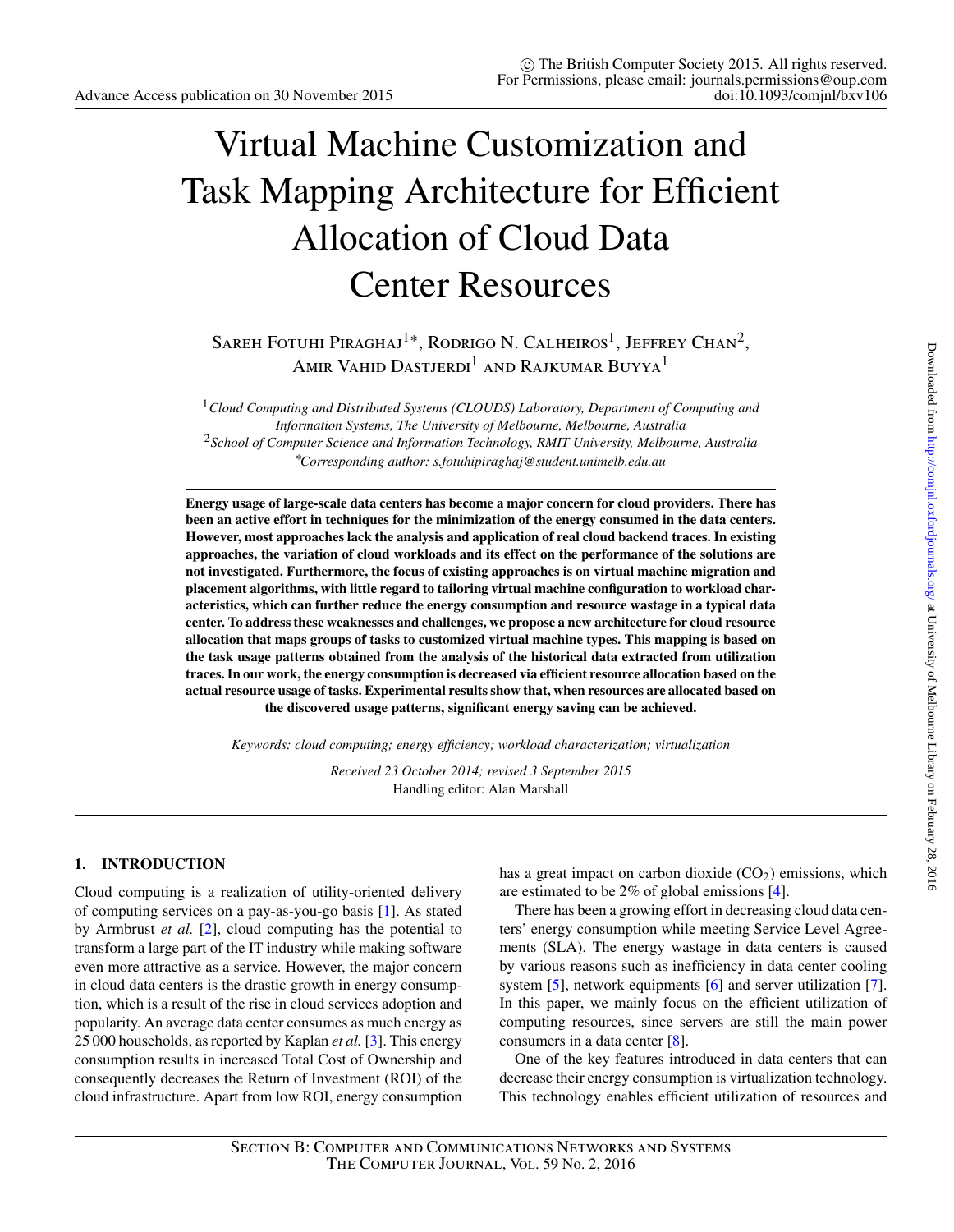# Virtual Machine Customization and Task Mapping Architecture for Efficient Allocation of Cloud Data Center Resources

SAREH FOTUHI PIRAGHAJ<sup>1</sup><sup>∗</sup>, RODRIGO N. CALHEIROS<sup>1</sup>, JEFFREY CHAN<sup>2</sup>, AMIR VAHID DASTJERDI<sup>1</sup> AND RAJKUMAR BUYYA<sup>1</sup>

<sup>1</sup>*Cloud Computing and Distributed Systems (CLOUDS) Laboratory, Department of Computing and Information Systems, The University of Melbourne, Melbourne, Australia* <sup>2</sup>*School of Computer Science and Information Technology, RMIT University, Melbourne, Australia* ∗ *Corresponding author: s.fotuhipiraghaj@student.unimelb.edu.au*

**Energy usage of large-scale data centers has become a major concern for cloud providers. There has been an active effort in techniques for the minimization of the energy consumed in the data centers. However, most approaches lack the analysis and application of real cloud backend traces. In existing approaches, the variation of cloud workloads and its effect on the performance of the solutions are not investigated. Furthermore, the focus of existing approaches is on virtual machine migration and placement algorithms, with little regard to tailoring virtual machine configuration to workload characteristics, which can further reduce the energy consumption and resource wastage in a typical data center. To address these weaknesses and challenges, we propose a new architecture for cloud resource allocation that maps groups of tasks to customized virtual machine types. This mapping is based on the task usage patterns obtained from the analysis of the historical data extracted from utilization traces. In our work, the energy consumption is decreased via efficient resource allocation based on the actual resource usage of tasks. Experimental results show that, when resources are allocated based on the discovered usage patterns, significant energy saving can be achieved.**

*Keywords: cloud computing; energy efficiency; workload characterization; virtualization*

*Received 23 October 2014; revised 3 September 2015* Handling editor: Alan Marshall

## **1. INTRODUCTION**

Cloud computing is a realization of utility-oriented delivery of computing services on a pay-as-you-go basis [\[1\]](#page-14-0). As stated by Armbrust *et al.* [\[2\]](#page-15-0), cloud computing has the potential to transform a large part of the IT industry while making software even more attractive as a service. However, the major concern in cloud data centers is the drastic growth in energy consumption, which is a result of the rise in cloud services adoption and popularity. An average data center consumes as much energy as 25 000 households, as reported by Kaplan *et al.* [\[3\]](#page-15-1). This energy consumption results in increased Total Cost of Ownership and consequently decreases the Return of Investment (ROI) of the cloud infrastructure. Apart from low ROI, energy consumption

has a great impact on carbon dioxide  $(CO<sub>2</sub>)$  emissions, which are estimated to be 2% of global emissions [\[4\]](#page-15-2).

There has been a growing effort in decreasing cloud data centers' energy consumption while meeting Service Level Agreements (SLA). The energy wastage in data centers is caused by various reasons such as inefficiency in data center cooling system [\[5\]](#page-15-3), network equipments [\[6\]](#page-15-4) and server utilization [\[7\]](#page-15-5). In this paper, we mainly focus on the efficient utilization of computing resources, since servers are still the main power consumers in a data center [\[8\]](#page-15-6).

One of the key features introduced in data centers that can decrease their energy consumption is virtualization technology. This technology enables efficient utilization of resources and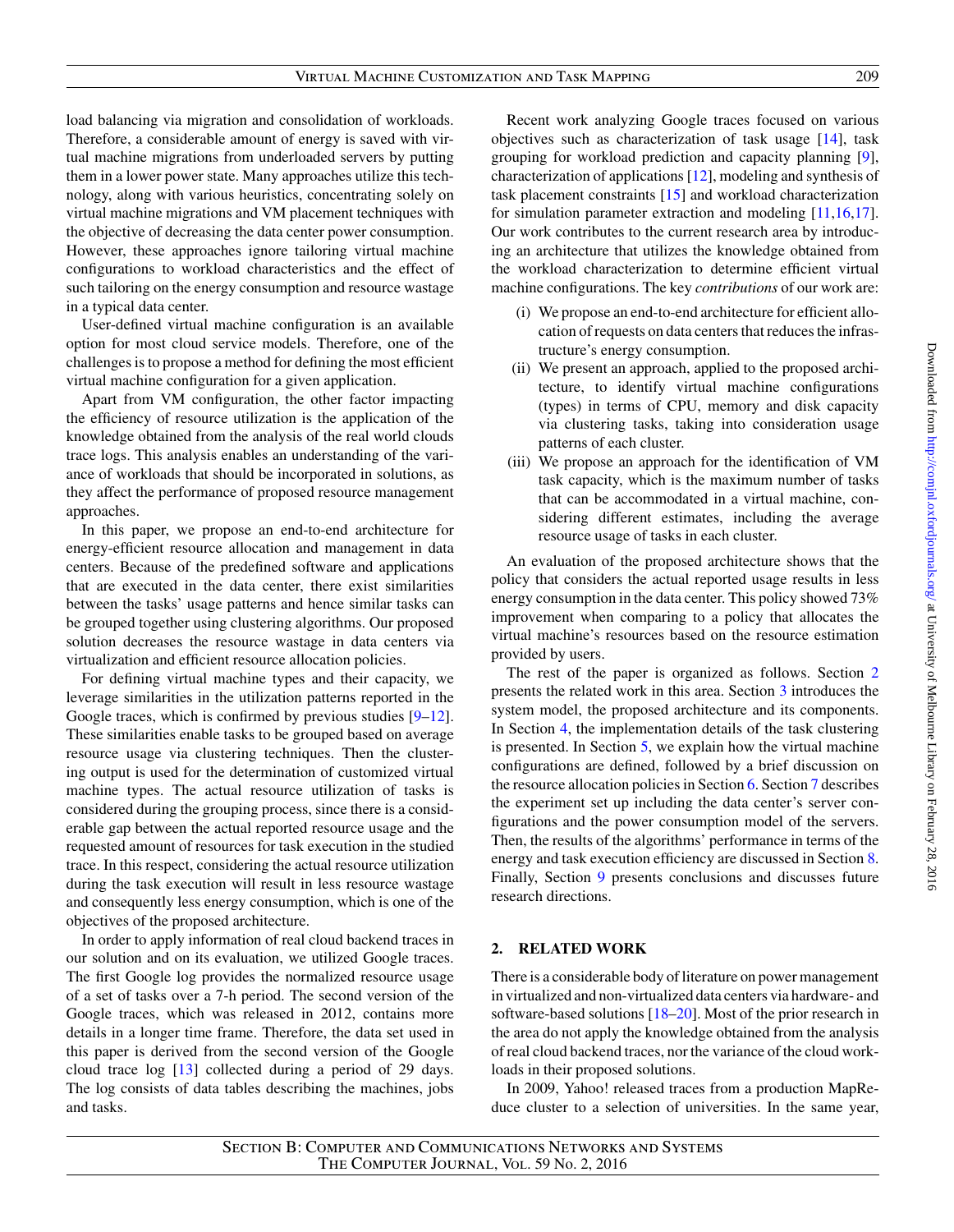load balancing via migration and consolidation of workloads. Therefore, a considerable amount of energy is saved with virtual machine migrations from underloaded servers by putting them in a lower power state. Many approaches utilize this technology, along with various heuristics, concentrating solely on virtual machine migrations and VM placement techniques with the objective of decreasing the data center power consumption. However, these approaches ignore tailoring virtual machine configurations to workload characteristics and the effect of such tailoring on the energy consumption and resource wastage in a typical data center.

User-defined virtual machine configuration is an available option for most cloud service models. Therefore, one of the challenges is to propose a method for defining the most efficient virtual machine configuration for a given application.

Apart from VM configuration, the other factor impacting the efficiency of resource utilization is the application of the knowledge obtained from the analysis of the real world clouds trace logs. This analysis enables an understanding of the variance of workloads that should be incorporated in solutions, as they affect the performance of proposed resource management approaches.

In this paper, we propose an end-to-end architecture for energy-efficient resource allocation and management in data centers. Because of the predefined software and applications that are executed in the data center, there exist similarities between the tasks' usage patterns and hence similar tasks can be grouped together using clustering algorithms. Our proposed solution decreases the resource wastage in data centers via virtualization and efficient resource allocation policies.

For defining virtual machine types and their capacity, we leverage similarities in the utilization patterns reported in the Google traces, which is confirmed by previous studies [\[9–](#page-15-7)[12\]](#page-15-8). These similarities enable tasks to be grouped based on average resource usage via clustering techniques. Then the clustering output is used for the determination of customized virtual machine types. The actual resource utilization of tasks is considered during the grouping process, since there is a considerable gap between the actual reported resource usage and the requested amount of resources for task execution in the studied trace. In this respect, considering the actual resource utilization during the task execution will result in less resource wastage and consequently less energy consumption, which is one of the objectives of the proposed architecture.

In order to apply information of real cloud backend traces in our solution and on its evaluation, we utilized Google traces. The first Google log provides the normalized resource usage of a set of tasks over a 7-h period. The second version of the Google traces, which was released in 2012, contains more details in a longer time frame. Therefore, the data set used in this paper is derived from the second version of the Google cloud trace log [\[13\]](#page-15-9) collected during a period of 29 days. The log consists of data tables describing the machines, jobs and tasks.

Recent work analyzing Google traces focused on various objectives such as characterization of task usage [\[14\]](#page-15-10), task grouping for workload prediction and capacity planning [\[9\]](#page-15-7), characterization of applications [\[12\]](#page-15-8), modeling and synthesis of task placement constraints [\[15\]](#page-15-11) and workload characterization for simulation parameter extraction and modeling [\[11](#page-15-12)[,16,](#page-15-13)[17\]](#page-15-14). Our work contributes to the current research area by introducing an architecture that utilizes the knowledge obtained from the workload characterization to determine efficient virtual machine configurations. The key *contributions* of our work are:

- (i) We propose an end-to-end architecture for efficient allocation of requests on data centers that reduces the infrastructure's energy consumption.
- (ii) We present an approach, applied to the proposed architecture, to identify virtual machine configurations (types) in terms of CPU, memory and disk capacity via clustering tasks, taking into consideration usage patterns of each cluster.
- (iii) We propose an approach for the identification of VM task capacity, which is the maximum number of tasks that can be accommodated in a virtual machine, considering different estimates, including the average resource usage of tasks in each cluster.

An evaluation of the proposed architecture shows that the policy that considers the actual reported usage results in less energy consumption in the data center. This policy showed 73% improvement when comparing to a policy that allocates the virtual machine's resources based on the resource estimation provided by users.

The rest of the paper is organized as follows. Section [2](#page-1-0) presents the related work in this area. Section [3](#page-3-0) introduces the system model, the proposed architecture and its components. In Section [4,](#page-5-0) the implementation details of the task clustering is presented. In Section [5,](#page-6-0) we explain how the virtual machine configurations are defined, followed by a brief discussion on the resource allocation policies in Section [6.](#page-7-0) Section [7](#page-8-0) describes the experiment set up including the data center's server configurations and the power consumption model of the servers. Then, the results of the algorithms' performance in terms of the energy and task execution efficiency are discussed in Section [8.](#page-9-0) Finally, Section [9](#page-14-1) presents conclusions and discusses future research directions.

# <span id="page-1-0"></span>**2. RELATED WORK**

There is a considerable body of literature on power management in virtualized and non-virtualized data centers via hardware- and software-based solutions [\[18](#page-15-15)[–20\]](#page-15-16). Most of the prior research in the area do not apply the knowledge obtained from the analysis of real cloud backend traces, nor the variance of the cloud workloads in their proposed solutions.

In 2009, Yahoo! released traces from a production MapReduce cluster to a selection of universities. In the same year,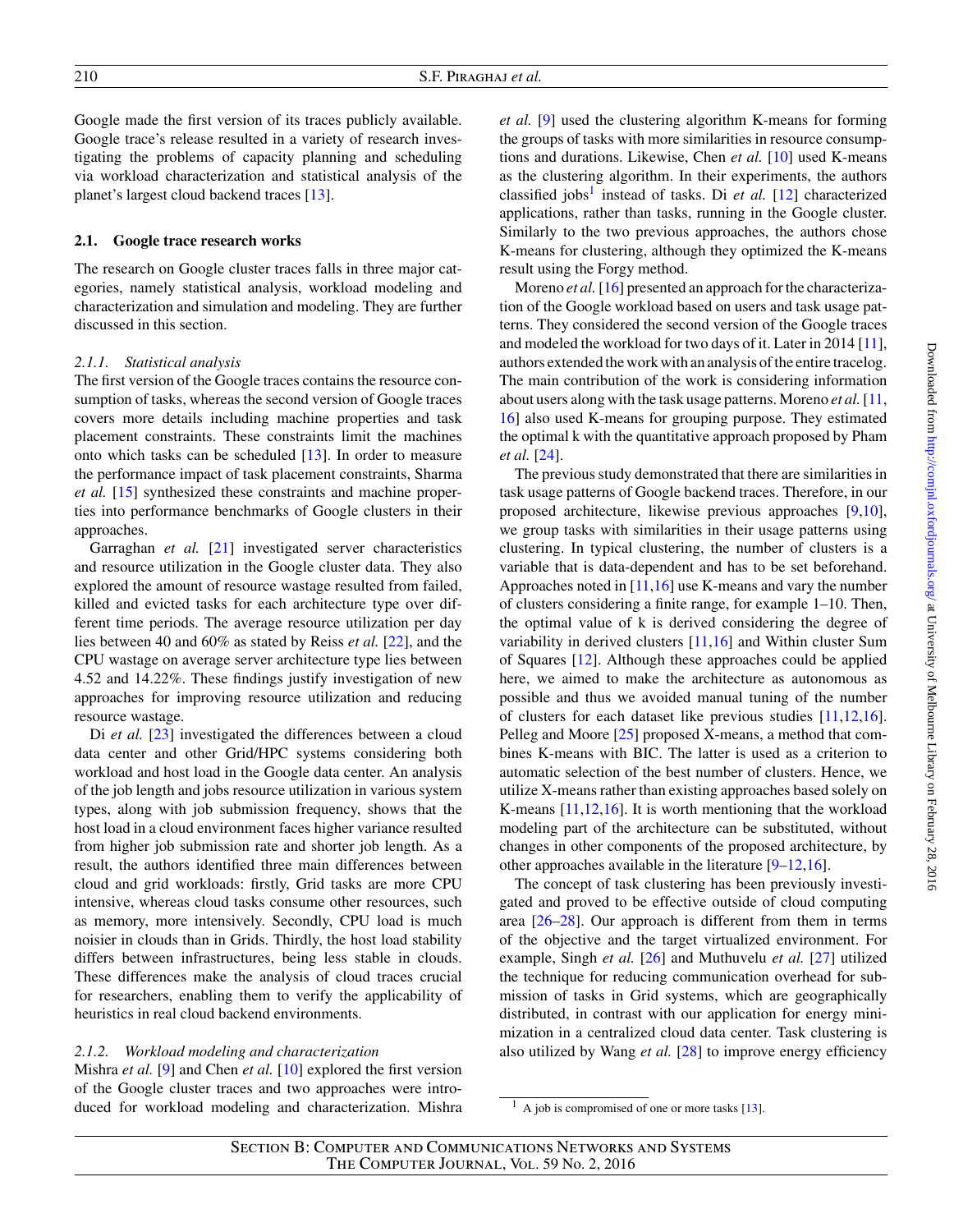Google made the first version of its traces publicly available. Google trace's release resulted in a variety of research investigating the problems of capacity planning and scheduling via workload characterization and statistical analysis of the planet's largest cloud backend traces [\[13\]](#page-15-9).

#### **2.1. Google trace research works**

The research on Google cluster traces falls in three major categories, namely statistical analysis, workload modeling and characterization and simulation and modeling. They are further discussed in this section.

#### *2.1.1. Statistical analysis*

The first version of the Google traces contains the resource consumption of tasks, whereas the second version of Google traces covers more details including machine properties and task placement constraints. These constraints limit the machines onto which tasks can be scheduled [\[13\]](#page-15-9). In order to measure the performance impact of task placement constraints, Sharma *et al.* [\[15\]](#page-15-11) synthesized these constraints and machine properties into performance benchmarks of Google clusters in their approaches.

Garraghan *et al.* [\[21\]](#page-15-17) investigated server characteristics and resource utilization in the Google cluster data. They also explored the amount of resource wastage resulted from failed, killed and evicted tasks for each architecture type over different time periods. The average resource utilization per day lies between 40 and 60% as stated by Reiss *et al.* [\[22\]](#page-15-18), and the CPU wastage on average server architecture type lies between 4.52 and 14.22%. These findings justify investigation of new approaches for improving resource utilization and reducing resource wastage.

Di *et al.* [\[23\]](#page-15-19) investigated the differences between a cloud data center and other Grid/HPC systems considering both workload and host load in the Google data center. An analysis of the job length and jobs resource utilization in various system types, along with job submission frequency, shows that the host load in a cloud environment faces higher variance resulted from higher job submission rate and shorter job length. As a result, the authors identified three main differences between cloud and grid workloads: firstly, Grid tasks are more CPU intensive, whereas cloud tasks consume other resources, such as memory, more intensively. Secondly, CPU load is much noisier in clouds than in Grids. Thirdly, the host load stability differs between infrastructures, being less stable in clouds. These differences make the analysis of cloud traces crucial for researchers, enabling them to verify the applicability of heuristics in real cloud backend environments.

## *2.1.2. Workload modeling and characterization*

Mishra *et al.* [\[9\]](#page-15-7) and Chen *et al.* [\[10\]](#page-15-20) explored the first version of the Google cluster traces and two approaches were introduced for workload modeling and characterization. Mishra *et al.* [\[9\]](#page-15-7) used the clustering algorithm K-means for forming the groups of tasks with more similarities in resource consumptions and durations. Likewise, Chen *et al.* [\[10\]](#page-15-20) used K-means as the clustering algorithm. In their experiments, the authors classified jobs<sup>[1](#page-2-0)</sup> instead of tasks. Di  $et$  al. [\[12\]](#page-15-8) characterized applications, rather than tasks, running in the Google cluster. Similarly to the two previous approaches, the authors chose K-means for clustering, although they optimized the K-means result using the Forgy method.

Moreno *et al.* [\[16\]](#page-15-13) presented an approach for the characterization of the Google workload based on users and task usage patterns. They considered the second version of the Google traces and modeled the workload for two days of it. Later in 2014 [\[11\]](#page-15-12), authors extended the work with an analysis of the entire tracelog. The main contribution of the work is considering information about users along with the task usage patterns. Moreno *et al.*[\[11,](#page-15-12) [16\]](#page-15-13) also used K-means for grouping purpose. They estimated the optimal k with the quantitative approach proposed by Pham *et al.* [\[24\]](#page-15-21).

The previous study demonstrated that there are similarities in task usage patterns of Google backend traces. Therefore, in our proposed architecture, likewise previous approaches [\[9](#page-15-7)[,10\]](#page-15-20), we group tasks with similarities in their usage patterns using clustering. In typical clustering, the number of clusters is a variable that is data-dependent and has to be set beforehand. Approaches noted in [\[11](#page-15-12)[,16\]](#page-15-13) use K-means and vary the number of clusters considering a finite range, for example 1–10. Then, the optimal value of k is derived considering the degree of variability in derived clusters [\[11,](#page-15-12)[16\]](#page-15-13) and Within cluster Sum of Squares [\[12\]](#page-15-8). Although these approaches could be applied here, we aimed to make the architecture as autonomous as possible and thus we avoided manual tuning of the number of clusters for each dataset like previous studies [\[11,](#page-15-12)[12](#page-15-8)[,16\]](#page-15-13). Pelleg and Moore [\[25\]](#page-15-22) proposed X-means, a method that combines K-means with BIC. The latter is used as a criterion to automatic selection of the best number of clusters. Hence, we utilize X-means rather than existing approaches based solely on K-means [\[11,](#page-15-12)[12](#page-15-8)[,16\]](#page-15-13). It is worth mentioning that the workload modeling part of the architecture can be substituted, without changes in other components of the proposed architecture, by other approaches available in the literature [\[9–](#page-15-7)[12](#page-15-8)[,16\]](#page-15-13).

The concept of task clustering has been previously investigated and proved to be effective outside of cloud computing area [\[26–](#page-15-23)[28\]](#page-15-24). Our approach is different from them in terms of the objective and the target virtualized environment. For example, Singh *et al.* [\[26\]](#page-15-23) and Muthuvelu *et al.* [\[27\]](#page-15-25) utilized the technique for reducing communication overhead for submission of tasks in Grid systems, which are geographically distributed, in contrast with our application for energy minimization in a centralized cloud data center. Task clustering is also utilized by Wang *et al.* [\[28\]](#page-15-24) to improve energy efficiency

<span id="page-2-0"></span> $<sup>1</sup>$  A job is compromised of one or more tasks [\[13\]](#page-15-9).</sup>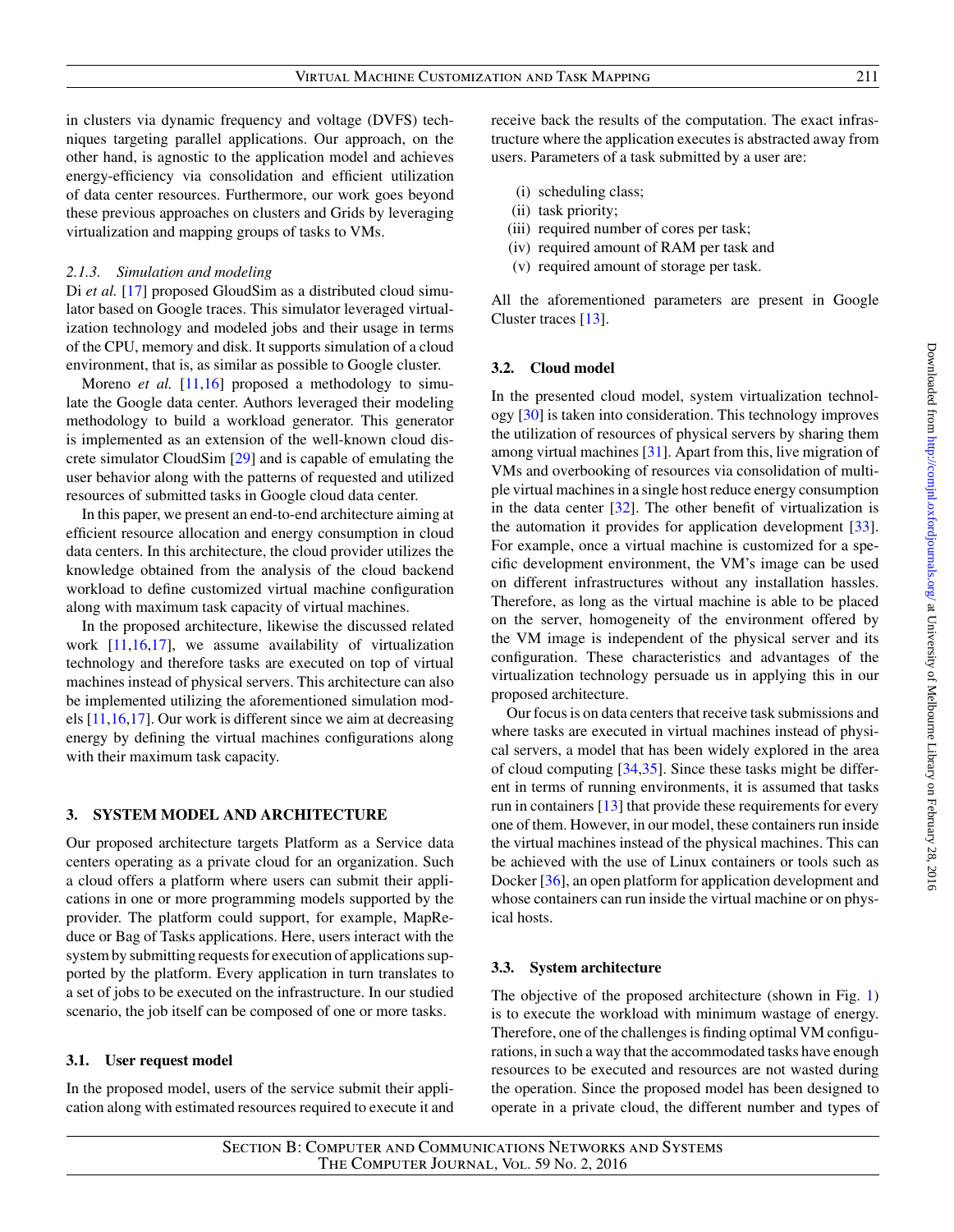in clusters via dynamic frequency and voltage (DVFS) techniques targeting parallel applications. Our approach, on the other hand, is agnostic to the application model and achieves energy-efficiency via consolidation and efficient utilization of data center resources. Furthermore, our work goes beyond these previous approaches on clusters and Grids by leveraging virtualization and mapping groups of tasks to VMs.

#### *2.1.3. Simulation and modeling*

Di *et al.* [\[17\]](#page-15-14) proposed GloudSim as a distributed cloud simulator based on Google traces. This simulator leveraged virtualization technology and modeled jobs and their usage in terms of the CPU, memory and disk. It supports simulation of a cloud environment, that is, as similar as possible to Google cluster.

Moreno *et al.* [\[11](#page-15-12)[,16\]](#page-15-13) proposed a methodology to simulate the Google data center. Authors leveraged their modeling methodology to build a workload generator. This generator is implemented as an extension of the well-known cloud discrete simulator CloudSim [\[29\]](#page-16-0) and is capable of emulating the user behavior along with the patterns of requested and utilized resources of submitted tasks in Google cloud data center.

In this paper, we present an end-to-end architecture aiming at efficient resource allocation and energy consumption in cloud data centers. In this architecture, the cloud provider utilizes the knowledge obtained from the analysis of the cloud backend workload to define customized virtual machine configuration along with maximum task capacity of virtual machines.

In the proposed architecture, likewise the discussed related work [\[11,](#page-15-12)[16,](#page-15-13)[17\]](#page-15-14), we assume availability of virtualization technology and therefore tasks are executed on top of virtual machines instead of physical servers. This architecture can also be implemented utilizing the aforementioned simulation models [\[11,](#page-15-12)[16,](#page-15-13)[17\]](#page-15-14). Our work is different since we aim at decreasing energy by defining the virtual machines configurations along with their maximum task capacity.

## <span id="page-3-0"></span>**3. SYSTEM MODEL AND ARCHITECTURE**

Our proposed architecture targets Platform as a Service data centers operating as a private cloud for an organization. Such a cloud offers a platform where users can submit their applications in one or more programming models supported by the provider. The platform could support, for example, MapReduce or Bag of Tasks applications. Here, users interact with the system by submitting requests for execution of applications supported by the platform. Every application in turn translates to a set of jobs to be executed on the infrastructure. In our studied scenario, the job itself can be composed of one or more tasks.

#### **3.1. User request model**

In the proposed model, users of the service submit their application along with estimated resources required to execute it and receive back the results of the computation. The exact infrastructure where the application executes is abstracted away from users. Parameters of a task submitted by a user are:

- (i) scheduling class;
- (ii) task priority;
- (iii) required number of cores per task;
- (iv) required amount of RAM per task and
- (v) required amount of storage per task.

All the aforementioned parameters are present in Google Cluster traces [\[13\]](#page-15-9).

#### **3.2. Cloud model**

In the presented cloud model, system virtualization technology [\[30\]](#page-16-1) is taken into consideration. This technology improves the utilization of resources of physical servers by sharing them among virtual machines [\[31\]](#page-16-2). Apart from this, live migration of VMs and overbooking of resources via consolidation of multiple virtual machines in a single host reduce energy consumption in the data center [\[32\]](#page-16-3). The other benefit of virtualization is the automation it provides for application development [\[33\]](#page-16-4). For example, once a virtual machine is customized for a specific development environment, the VM's image can be used on different infrastructures without any installation hassles. Therefore, as long as the virtual machine is able to be placed on the server, homogeneity of the environment offered by the VM image is independent of the physical server and its configuration. These characteristics and advantages of the virtualization technology persuade us in applying this in our proposed architecture.

Our focus is on data centers that receive task submissions and where tasks are executed in virtual machines instead of physical servers, a model that has been widely explored in the area of cloud computing [\[34](#page-16-5)[,35\]](#page-16-6). Since these tasks might be different in terms of running environments, it is assumed that tasks run in containers [\[13\]](#page-15-9) that provide these requirements for every one of them. However, in our model, these containers run inside the virtual machines instead of the physical machines. This can be achieved with the use of Linux containers or tools such as Docker [\[36\]](#page-16-7), an open platform for application development and whose containers can run inside the virtual machine or on physical hosts.

#### **3.3. System architecture**

The objective of the proposed architecture (shown in Fig. [1\)](#page-4-0) is to execute the workload with minimum wastage of energy. Therefore, one of the challenges is finding optimal VM configurations, in such a way that the accommodated tasks have enough resources to be executed and resources are not wasted during the operation. Since the proposed model has been designed to operate in a private cloud, the different number and types of

Section B: Computer and Communications Networks and Systems The Computer Journal, Vol. 59 No. 2, 2016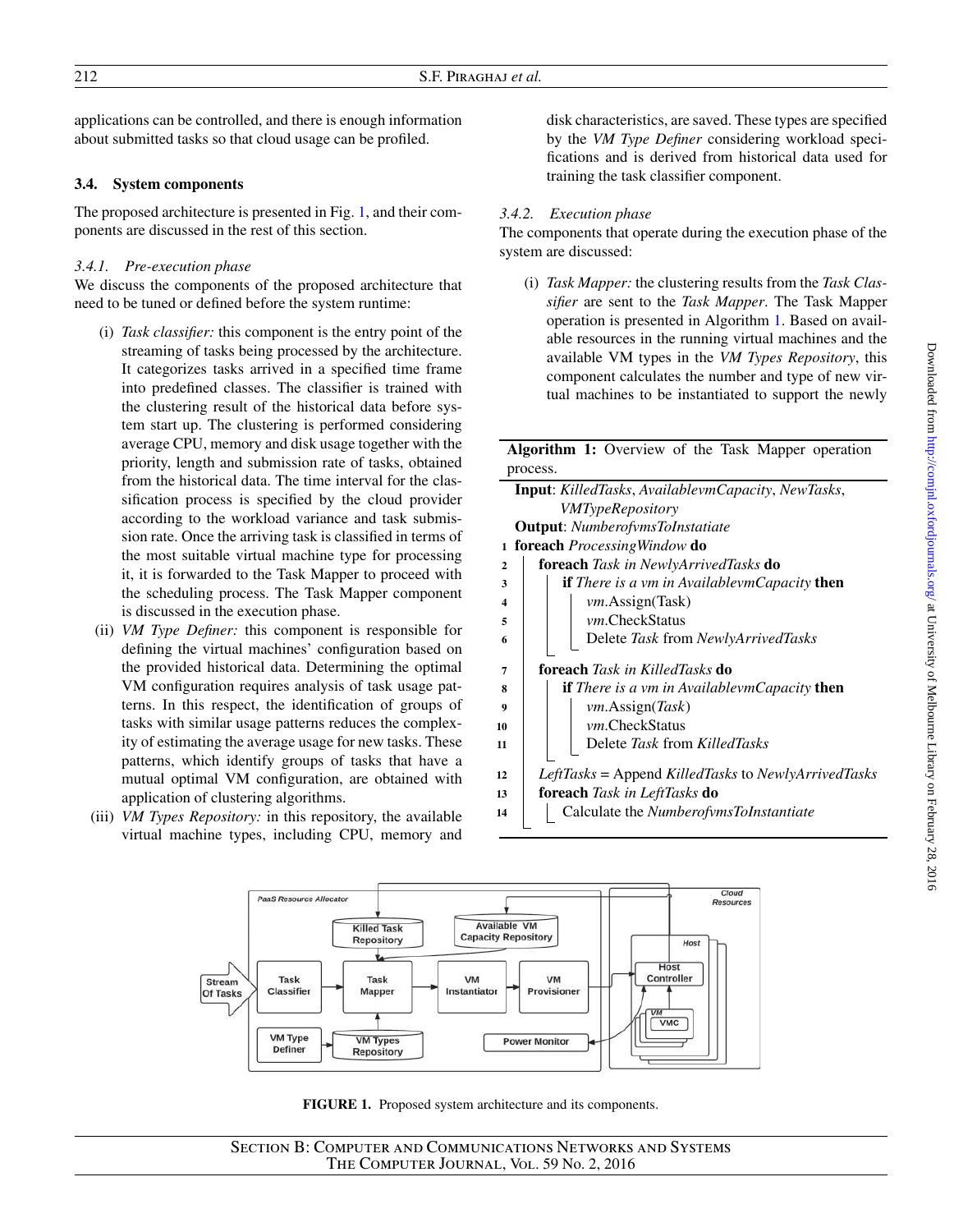applications can be controlled, and there is enough information about submitted tasks so that cloud usage can be profiled.

## **3.4. System components**

The proposed architecture is presented in Fig. [1,](#page-4-0) and their components are discussed in the rest of this section.

# *3.4.1. Pre-execution phase*

We discuss the components of the proposed architecture that need to be tuned or defined before the system runtime:

- (i) *Task classifier:* this component is the entry point of the streaming of tasks being processed by the architecture. It categorizes tasks arrived in a specified time frame into predefined classes. The classifier is trained with the clustering result of the historical data before system start up. The clustering is performed considering average CPU, memory and disk usage together with the priority, length and submission rate of tasks, obtained from the historical data. The time interval for the classification process is specified by the cloud provider according to the workload variance and task submission rate. Once the arriving task is classified in terms of the most suitable virtual machine type for processing it, it is forwarded to the Task Mapper to proceed with the scheduling process. The Task Mapper component is discussed in the execution phase.
- (ii) *VM Type Definer:* this component is responsible for defining the virtual machines' configuration based on the provided historical data. Determining the optimal VM configuration requires analysis of task usage patterns. In this respect, the identification of groups of tasks with similar usage patterns reduces the complexity of estimating the average usage for new tasks. These patterns, which identify groups of tasks that have a mutual optimal VM configuration, are obtained with application of clustering algorithms.
- (iii) *VM Types Repository:* in this repository, the available virtual machine types, including CPU, memory and

disk characteristics, are saved. These types are specified by the *VM Type Definer* considering workload specifications and is derived from historical data used for training the task classifier component.

# *3.4.2. Execution phase*

The components that operate during the execution phase of the system are discussed:

(i) *Task Mapper:* the clustering results from the *Task Classifier* are sent to the *Task Mapper*. The Task Mapper operation is presented in Algorithm [1.](#page-4-1) Based on available resources in the running virtual machines and the available VM types in the *VM Types Repository*, this component calculates the number and type of new virtual machines to be instantiated to support the newly

| Algorithm 1: Overview of the Task Mapper operation |  |  |  |  |
|----------------------------------------------------|--|--|--|--|
| process.                                           |  |  |  |  |

<span id="page-4-1"></span>

|                  | Input: KilledTasks, AvailablevmCapacity, NewTasks,         |
|------------------|------------------------------------------------------------|
|                  | <i>VMTypeRepository</i>                                    |
|                  | <b>Output:</b> NumberofymsToInstatiate                     |
|                  | 1 <b>foreach</b> <i>Processing Window</i> <b>do</b>        |
| $\mathbf{2}$     | foreach Task in NewlyArrivedTasks do                       |
| 3                | <b>if</b> There is a vm in AvailablevmCapacity <b>then</b> |
| $\boldsymbol{4}$ | $vm.$ Assign(Task)                                         |
| 5                | <i>vm</i> .CheckStatus                                     |
| 6                | Delete Task from NewlyArrivedTasks                         |
|                  |                                                            |
| 7                | <b>foreach</b> Task in KilledTasks <b>do</b>               |
| 8                | <b>if</b> There is a vm in AvailablevmCapacity <b>then</b> |
| 9                | $vm.$ Assign( <i>Task</i> )                                |
| 10               | vm.CheckStatus                                             |
| 11               | Delete Task from KilledTasks                               |
|                  |                                                            |
| 12               | LeftTasks = Append KilledTasks to NewlyArrivedTasks        |
| 13               | <b>foreach</b> Task in LeftTasks <b>do</b>                 |
| 14               | Calculate the NumberofymsToInstantiate                     |
|                  |                                                            |



<span id="page-4-0"></span>**FIGURE 1.** Proposed system architecture and its components.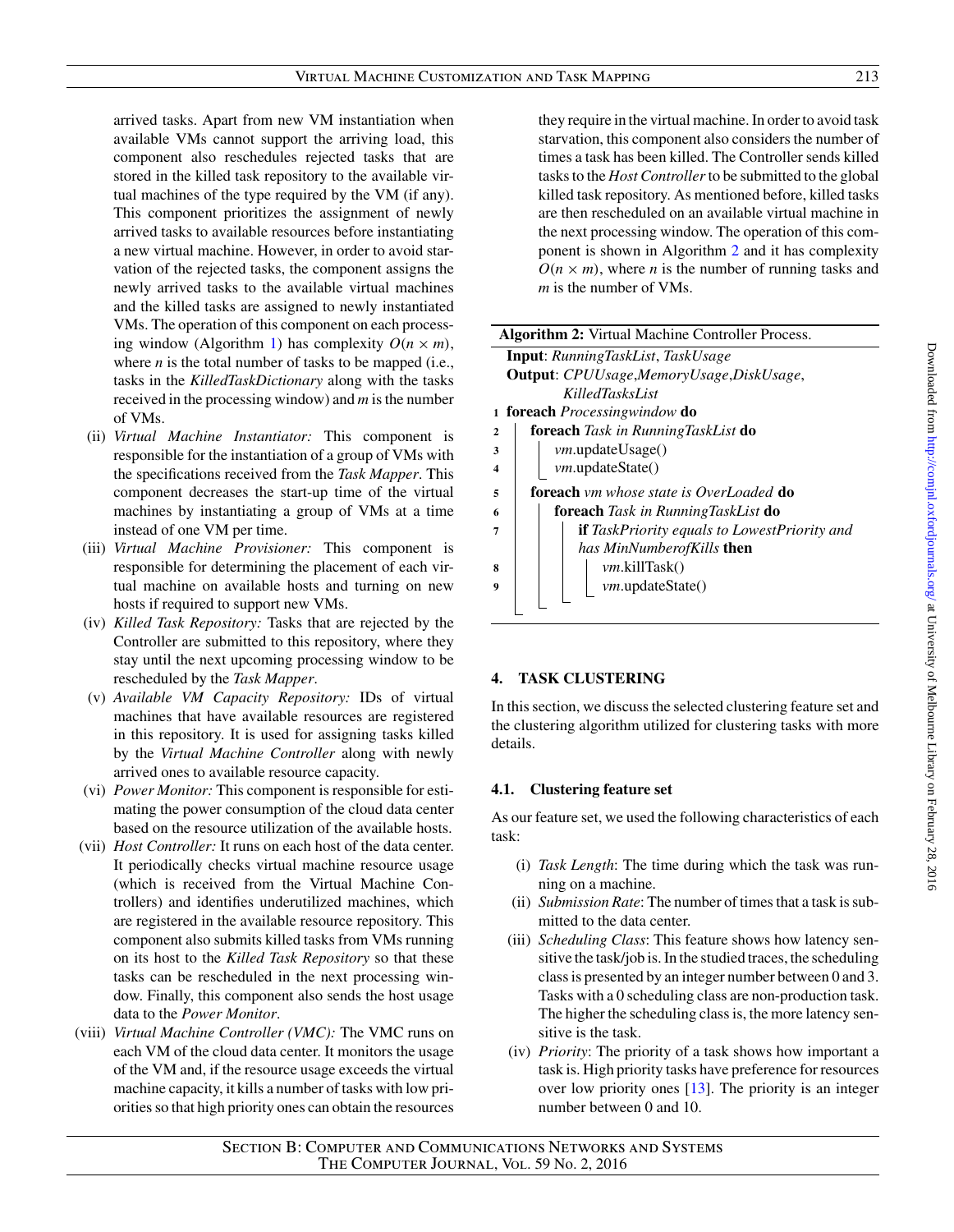arrived tasks. Apart from new VM instantiation when available VMs cannot support the arriving load, this component also reschedules rejected tasks that are stored in the killed task repository to the available virtual machines of the type required by the VM (if any). This component prioritizes the assignment of newly arrived tasks to available resources before instantiating a new virtual machine. However, in order to avoid starvation of the rejected tasks, the component assigns the newly arrived tasks to the available virtual machines and the killed tasks are assigned to newly instantiated VMs. The operation of this component on each process-ing window (Algorithm [1\)](#page-4-1) has complexity  $O(n \times m)$ , where *n* is the total number of tasks to be mapped (i.e., tasks in the *KilledTaskDictionary* along with the tasks received in the processing window) and *m* is the number of VMs.

- (ii) *Virtual Machine Instantiator:* This component is responsible for the instantiation of a group of VMs with the specifications received from the *Task Mapper*. This component decreases the start-up time of the virtual machines by instantiating a group of VMs at a time instead of one VM per time.
- (iii) *Virtual Machine Provisioner:* This component is responsible for determining the placement of each virtual machine on available hosts and turning on new hosts if required to support new VMs.
- (iv) *Killed Task Repository:* Tasks that are rejected by the Controller are submitted to this repository, where they stay until the next upcoming processing window to be rescheduled by the *Task Mapper*.
- (v) *Available VM Capacity Repository:* IDs of virtual machines that have available resources are registered in this repository. It is used for assigning tasks killed by the *Virtual Machine Controller* along with newly arrived ones to available resource capacity.
- (vi) *Power Monitor:* This component is responsible for estimating the power consumption of the cloud data center based on the resource utilization of the available hosts.
- (vii) *Host Controller:* It runs on each host of the data center. It periodically checks virtual machine resource usage (which is received from the Virtual Machine Controllers) and identifies underutilized machines, which are registered in the available resource repository. This component also submits killed tasks from VMs running on its host to the *Killed Task Repository* so that these tasks can be rescheduled in the next processing window. Finally, this component also sends the host usage data to the *Power Monitor*.
- (viii) *Virtual Machine Controller (VMC):* The VMC runs on each VM of the cloud data center. It monitors the usage of the VM and, if the resource usage exceeds the virtual machine capacity, it kills a number of tasks with low priorities so that high priority ones can obtain the resources

they require in the virtual machine. In order to avoid task starvation, this component also considers the number of times a task has been killed. The Controller sends killed tasks to the *Host Controller*to be submitted to the global killed task repository. As mentioned before, killed tasks are then rescheduled on an available virtual machine in the next processing window. The operation of this component is shown in Algorithm [2](#page-5-1) and it has complexity  $O(n \times m)$ , where *n* is the number of running tasks and *m* is the number of VMs.

<span id="page-5-1"></span>

| <b>Algorithm 2:</b> Virtual Machine Controller Process.    |  |  |  |  |  |  |
|------------------------------------------------------------|--|--|--|--|--|--|
| <b>Input:</b> RunningTaskList, TaskUsage                   |  |  |  |  |  |  |
| <b>Output:</b> CPUUsage, MemoryUsage, DiskUsage,           |  |  |  |  |  |  |
| KilledTasksList                                            |  |  |  |  |  |  |
| 1 <b>foreach</b> <i>Processingwindow</i> <b>do</b>         |  |  |  |  |  |  |
| foreach Task in RunningTaskList do<br>$\mathbf{2}$         |  |  |  |  |  |  |
| vm.updateUsage()<br>3                                      |  |  |  |  |  |  |
| vm.updateState()<br>4                                      |  |  |  |  |  |  |
| <b>foreach</b> vm whose state is OverLoaded <b>do</b><br>5 |  |  |  |  |  |  |
| foreach Task in RunningTaskList do<br>6                    |  |  |  |  |  |  |
| <b>if</b> TaskPriority equals to LowestPriority and        |  |  |  |  |  |  |
| has MinNumberofKills then                                  |  |  |  |  |  |  |
| <i>vm.</i> killTask()<br>8                                 |  |  |  |  |  |  |
| <i>vm</i> .updateState()<br>q                              |  |  |  |  |  |  |
|                                                            |  |  |  |  |  |  |

# <span id="page-5-0"></span>**4. TASK CLUSTERING**

In this section, we discuss the selected clustering feature set and the clustering algorithm utilized for clustering tasks with more details.

# **4.1. Clustering feature set**

As our feature set, we used the following characteristics of each task:

- (i) *Task Length*: The time during which the task was running on a machine.
- (ii) *Submission Rate*: The number of times that a task is submitted to the data center.
- (iii) *Scheduling Class*: This feature shows how latency sensitive the task/job is. In the studied traces, the scheduling class is presented by an integer number between 0 and 3. Tasks with a 0 scheduling class are non-production task. The higher the scheduling class is, the more latency sensitive is the task.
- (iv) *Priority*: The priority of a task shows how important a task is. High priority tasks have preference for resources over low priority ones [\[13\]](#page-15-9). The priority is an integer number between 0 and 10.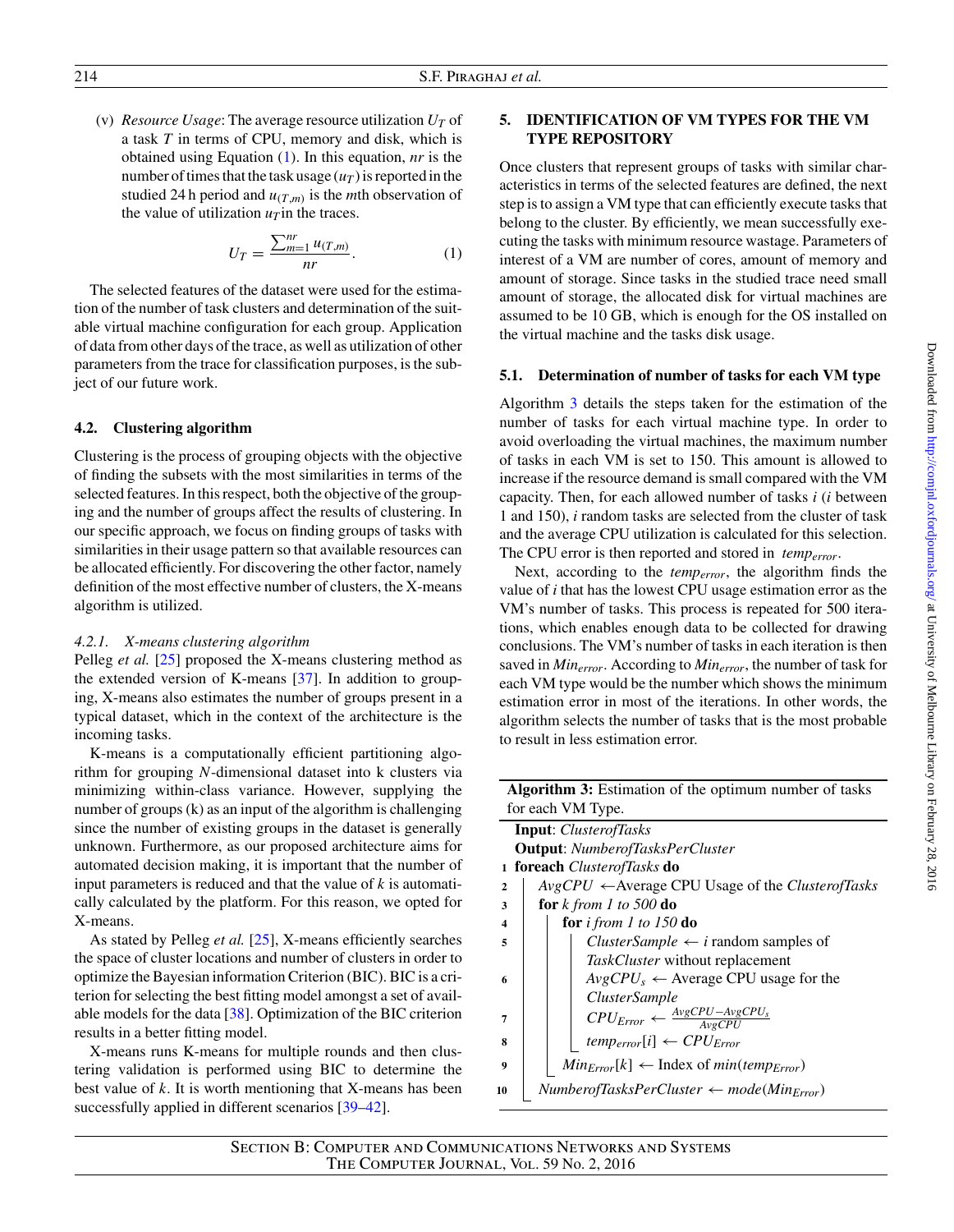(v) *Resource Usage*: The average resource utilization  $U_T$  of a task *T* in terms of CPU, memory and disk, which is obtained using Equation [\(1\)](#page-6-1). In this equation, *nr* is the number of times that the task usage  $(u_T)$  is reported in the studied 24 h period and  $u_{(T,m)}$  is the *m*th observation of the value of utilization  $u<sub>T</sub>$  in the traces.

<span id="page-6-1"></span>
$$
U_T = \frac{\sum_{m=1}^{nr} u_{(T,m)}}{nr}.
$$
 (1)

The selected features of the dataset were used for the estimation of the number of task clusters and determination of the suitable virtual machine configuration for each group. Application of data from other days of the trace, as well as utilization of other parameters from the trace for classification purposes, is the subject of our future work.

## **4.2. Clustering algorithm**

Clustering is the process of grouping objects with the objective of finding the subsets with the most similarities in terms of the selected features. In this respect, both the objective of the grouping and the number of groups affect the results of clustering. In our specific approach, we focus on finding groups of tasks with similarities in their usage pattern so that available resources can be allocated efficiently. For discovering the other factor, namely definition of the most effective number of clusters, the X-means algorithm is utilized.

## *4.2.1. X-means clustering algorithm*

Pelleg *et al.* [\[25\]](#page-15-22) proposed the X-means clustering method as the extended version of K-means [\[37\]](#page-16-8). In addition to grouping, X-means also estimates the number of groups present in a typical dataset, which in the context of the architecture is the incoming tasks.

K-means is a computationally efficient partitioning algorithm for grouping *N*-dimensional dataset into k clusters via minimizing within-class variance. However, supplying the number of groups (k) as an input of the algorithm is challenging since the number of existing groups in the dataset is generally unknown. Furthermore, as our proposed architecture aims for automated decision making, it is important that the number of input parameters is reduced and that the value of *k* is automatically calculated by the platform. For this reason, we opted for X-means.

As stated by Pelleg *et al.* [\[25\]](#page-15-22), X-means efficiently searches the space of cluster locations and number of clusters in order to optimize the Bayesian information Criterion (BIC). BIC is a criterion for selecting the best fitting model amongst a set of available models for the data [\[38\]](#page-16-9). Optimization of the BIC criterion results in a better fitting model.

X-means runs K-means for multiple rounds and then clustering validation is performed using BIC to determine the best value of *k*. It is worth mentioning that X-means has been successfully applied in different scenarios [\[39–](#page-16-10)[42\]](#page-16-11).

# <span id="page-6-0"></span>**5. IDENTIFICATION OF VM TYPES FOR THE VM TYPE REPOSITORY**

Once clusters that represent groups of tasks with similar characteristics in terms of the selected features are defined, the next step is to assign a VM type that can efficiently execute tasks that belong to the cluster. By efficiently, we mean successfully executing the tasks with minimum resource wastage. Parameters of interest of a VM are number of cores, amount of memory and amount of storage. Since tasks in the studied trace need small amount of storage, the allocated disk for virtual machines are assumed to be 10 GB, which is enough for the OS installed on the virtual machine and the tasks disk usage.

## **5.1. Determination of number of tasks for each VM type**

Algorithm [3](#page-6-2) details the steps taken for the estimation of the number of tasks for each virtual machine type. In order to avoid overloading the virtual machines, the maximum number of tasks in each VM is set to 150. This amount is allowed to increase if the resource demand is small compared with the VM capacity. Then, for each allowed number of tasks *i* (*i* between 1 and 150), *i* random tasks are selected from the cluster of task and the average CPU utilization is calculated for this selection. The CPU error is then reported and stored in *temperror*.

Next, according to the *temperror*, the algorithm finds the value of *i* that has the lowest CPU usage estimation error as the VM's number of tasks. This process is repeated for 500 iterations, which enables enough data to be collected for drawing conclusions. The VM's number of tasks in each iteration is then saved in *Minerror*. According to *Minerror*, the number of task for each VM type would be the number which shows the minimum estimation error in most of the iterations. In other words, the algorithm selects the number of tasks that is the most probable to result in less estimation error.

<span id="page-6-2"></span>

|              | Algorithm 3: Estimation of the optimum number of tasks           |
|--------------|------------------------------------------------------------------|
|              | for each VM Type.                                                |
|              | <b>Input:</b> <i>ClusterofTasks</i>                              |
|              | <b>Output:</b> NumberofTasksPerCluster                           |
|              | 1 <b>foreach</b> <i>ClusterofTasks</i> <b>do</b>                 |
| $\mathbf{2}$ | $AvgCPU \leftarrow Average CPU Usage of the Cluster of Tasks$    |
| 3            | for $k$ from 1 to 500 do                                         |
| 4            | for <i>i</i> from 1 to $150$ do                                  |
| 5            | <i>ClusterSample</i> $\leftarrow$ <i>i</i> random samples of     |
|              | TaskCluster without replacement                                  |
| 6            | $AvgCPU_s \leftarrow Average CPU usage$ for the                  |
|              | <i>ClusterSample</i>                                             |
| 7            | $CPU_{Error} \leftarrow \frac{AvgCPU - AvgCPU_{s}}{AvgCPU}$      |
| 8            | $temp_{error}[i] \leftarrow CPU_{Error}$                         |
| 9            | $Min_{Error}[k] \leftarrow$ Index of min(temp <sub>Error</sub> ) |
| 10           | $Number of TasksPerCluster \leftarrow mode(Min_{Error})$         |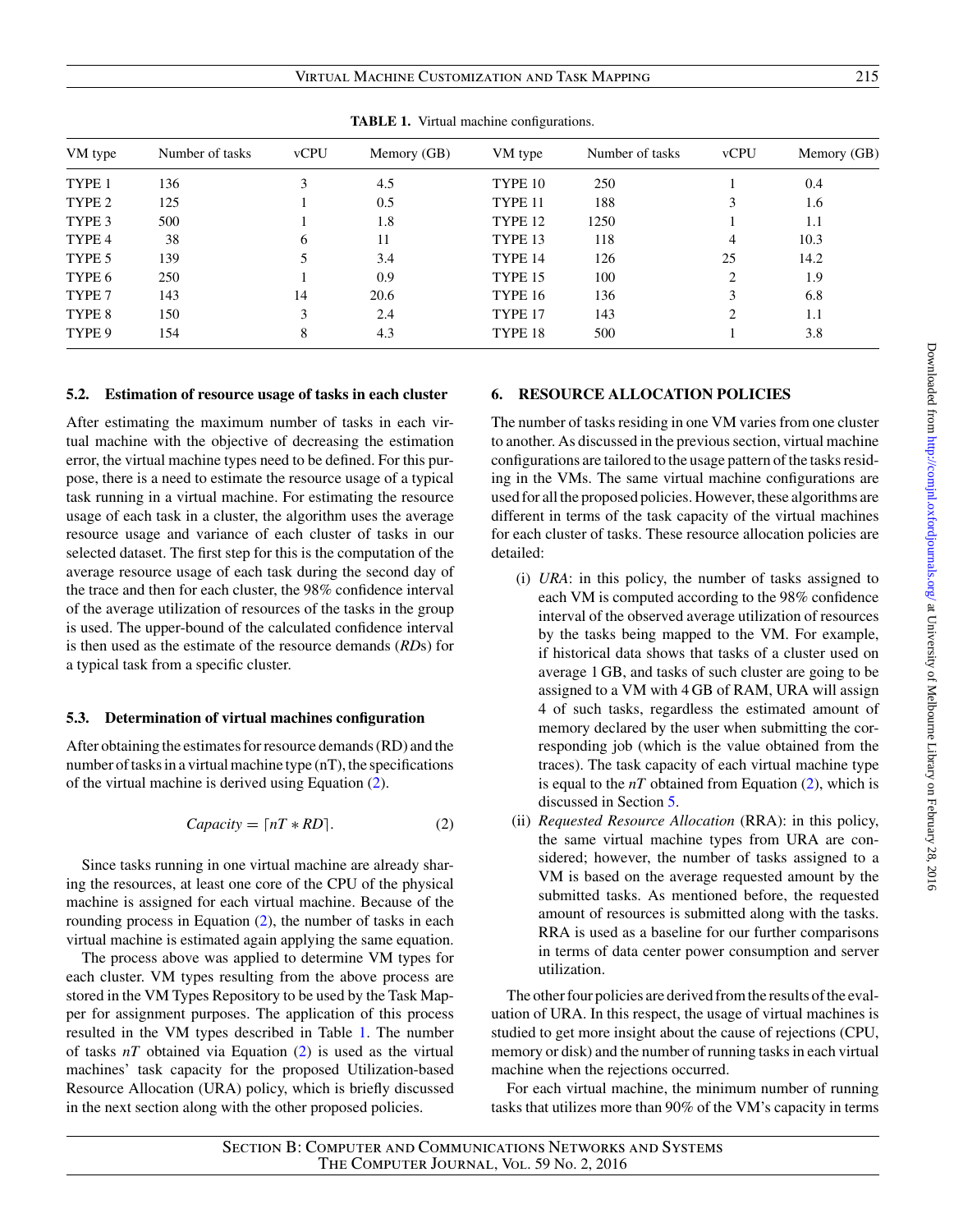Virtual Machine Customization and Task Mapping 215

| VM type | Number of tasks | vCPU | Memory (GB) | VM type | Number of tasks | <b>vCPU</b>   | Memory (GB) |
|---------|-----------------|------|-------------|---------|-----------------|---------------|-------------|
| TYPE 1  | 136             |      | 4.5         | TYPE 10 | 250             |               | 0.4         |
| TYPE 2  | 125             |      | 0.5         | TYPE 11 | 188             | 3             | 1.6         |
| TYPE 3  | 500             |      | 1.8         | TYPE 12 | 1250            |               | 1.1         |
| TYPE 4  | 38              | 6    | 11          | TYPE 13 | 118             | 4             | 10.3        |
| TYPE 5  | 139             |      | 3.4         | TYPE 14 | 126             | 25            | 14.2        |
| TYPE 6  | 250             |      | 0.9         | TYPE 15 | 100             | ∍             | 1.9         |
| TYPE 7  | 143             | 14   | 20.6        | TYPE 16 | 136             |               | 6.8         |
| TYPE 8  | 150             | 3    | 2.4         | TYPE 17 | 143             | $\mathcal{L}$ | 1.1         |
| TYPE 9  | 154             | 8    | 4.3         | TYPE 18 | 500             |               | 3.8         |

<span id="page-7-2"></span>**TABLE 1.** Virtual machine configurations.

## **5.2. Estimation of resource usage of tasks in each cluster**

After estimating the maximum number of tasks in each virtual machine with the objective of decreasing the estimation error, the virtual machine types need to be defined. For this purpose, there is a need to estimate the resource usage of a typical task running in a virtual machine. For estimating the resource usage of each task in a cluster, the algorithm uses the average resource usage and variance of each cluster of tasks in our selected dataset. The first step for this is the computation of the average resource usage of each task during the second day of the trace and then for each cluster, the 98% confidence interval of the average utilization of resources of the tasks in the group is used. The upper-bound of the calculated confidence interval is then used as the estimate of the resource demands (*RD*s) for a typical task from a specific cluster.

## **5.3. Determination of virtual machines configuration**

After obtaining the estimates for resource demands (RD) and the number of tasks in a virtual machine type (nT), the specifications of the virtual machine is derived using Equation [\(2\)](#page-7-1).

<span id="page-7-1"></span>
$$
Capacity = \lceil nT * RD \rceil. \tag{2}
$$

Since tasks running in one virtual machine are already sharing the resources, at least one core of the CPU of the physical machine is assigned for each virtual machine. Because of the rounding process in Equation [\(2\)](#page-7-1), the number of tasks in each virtual machine is estimated again applying the same equation.

The process above was applied to determine VM types for each cluster. VM types resulting from the above process are stored in the VM Types Repository to be used by the Task Mapper for assignment purposes. The application of this process resulted in the VM types described in Table [1.](#page-7-2) The number of tasks *nT* obtained via Equation [\(2\)](#page-7-1) is used as the virtual machines' task capacity for the proposed Utilization-based Resource Allocation (URA) policy, which is briefly discussed in the next section along with the other proposed policies.

## <span id="page-7-0"></span>**6. RESOURCE ALLOCATION POLICIES**

The number of tasks residing in one VM varies from one cluster to another. As discussed in the previous section, virtual machine configurations are tailored to the usage pattern of the tasks residing in the VMs. The same virtual machine configurations are used for all the proposed policies. However, these algorithms are different in terms of the task capacity of the virtual machines for each cluster of tasks. These resource allocation policies are detailed:

- (i) *URA*: in this policy, the number of tasks assigned to each VM is computed according to the 98% confidence interval of the observed average utilization of resources by the tasks being mapped to the VM. For example, if historical data shows that tasks of a cluster used on average 1 GB, and tasks of such cluster are going to be assigned to a VM with 4 GB of RAM, URA will assign 4 of such tasks, regardless the estimated amount of memory declared by the user when submitting the corresponding job (which is the value obtained from the traces). The task capacity of each virtual machine type is equal to the  $nT$  obtained from Equation  $(2)$ , which is discussed in Section [5.](#page-6-0)
- (ii) *Requested Resource Allocation* (RRA): in this policy, the same virtual machine types from URA are considered; however, the number of tasks assigned to a VM is based on the average requested amount by the submitted tasks. As mentioned before, the requested amount of resources is submitted along with the tasks. RRA is used as a baseline for our further comparisons in terms of data center power consumption and server utilization.

The other four policies are derived from the results of the evaluation of URA. In this respect, the usage of virtual machines is studied to get more insight about the cause of rejections (CPU, memory or disk) and the number of running tasks in each virtual machine when the rejections occurred.

For each virtual machine, the minimum number of running tasks that utilizes more than 90% of the VM's capacity in terms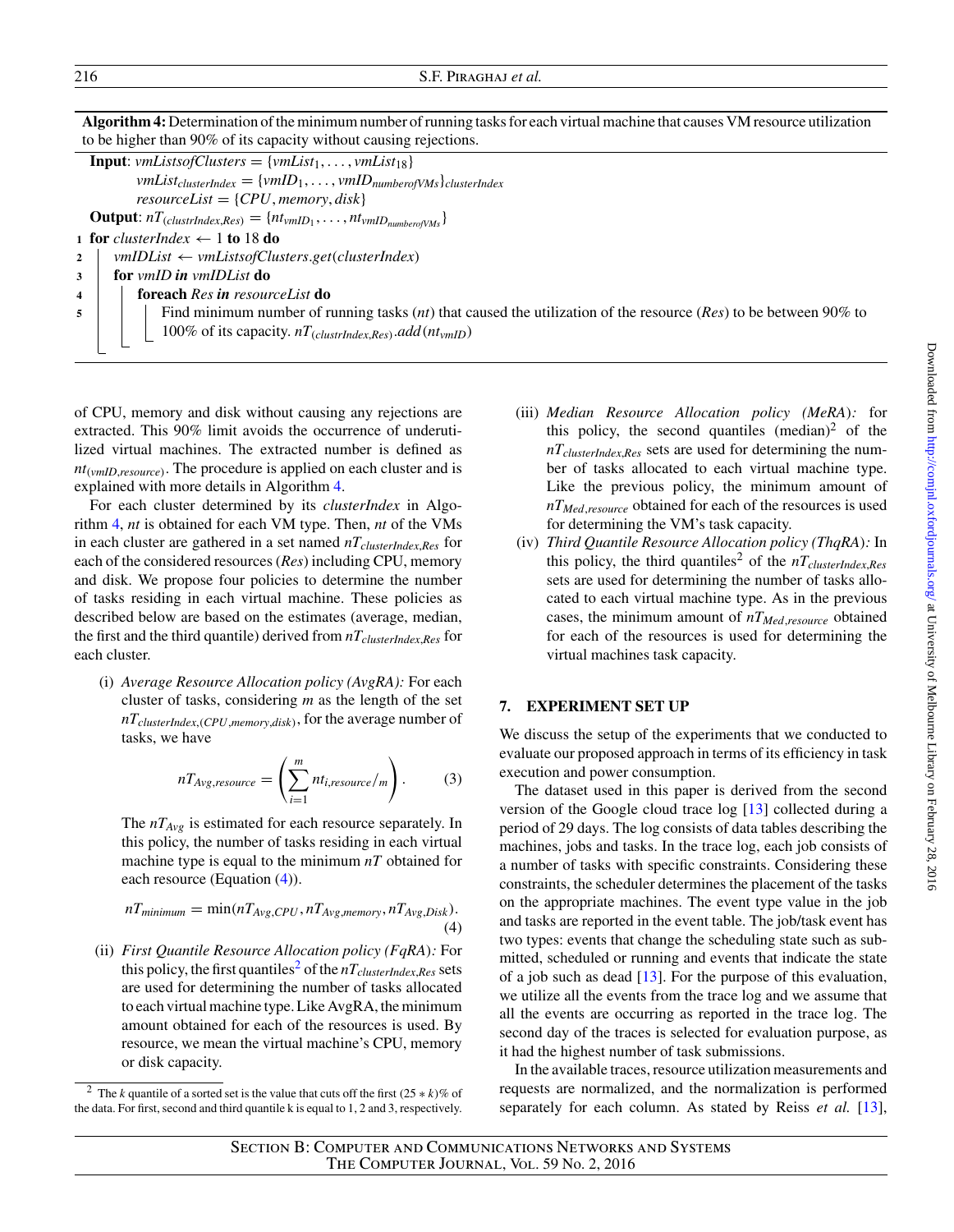216 S.F. Piraghaj *et al.*

**Algorithm 4:** Determination of the minimum number of running tasks for each virtual machine that causes VM resource utilization to be higher than 90% of its capacity without causing rejections.

<span id="page-8-1"></span>

|                         | <b>Input:</b> vmListsofClusters = {vmList <sub>1</sub> ,, vmList <sub>18</sub> }                                                   |
|-------------------------|------------------------------------------------------------------------------------------------------------------------------------|
|                         | $vmList_{clusterIndex} = \{vmID_1, \ldots,vmID_{numberofVMs}\}_{clusterIndex}$                                                     |
|                         | $resourceList = \{CPU, memory, disk\}$                                                                                             |
|                         | <b>Output:</b> $nT_{\text{(clusterIndex,Res)}} = \{nt_{\text{vmID}_1}, \ldots, nt_{\text{vmID}_{\text{numberofVM}_S}}\}$           |
|                         | 1 for clusterIndex $\leftarrow$ 1 to 18 do                                                                                         |
| $\overline{2}$          | $vmlDList \leftarrow \numlistsoftClusters.get(clusterIndex)$                                                                       |
| 3                       | for <i>vmID</i> in <i>vmIDList</i> do                                                                                              |
| $\overline{\mathbf{4}}$ | <b>foreach</b> Res in resourceList <b>do</b>                                                                                       |
| 5                       | Find minimum number of running tasks ( <i>nt</i> ) that caused the utilization of the resource ( <i>Res</i> ) to be between 90% to |
|                         | 100% of its capacity. $nT_{\text{(clusterIndex, Res)}}$ .add $(nt_{\text{vmID}})$                                                  |
|                         |                                                                                                                                    |
|                         |                                                                                                                                    |

of CPU, memory and disk without causing any rejections are extracted. This 90% limit avoids the occurrence of underutilized virtual machines. The extracted number is defined as *nt(vmID*,*resource)*. The procedure is applied on each cluster and is explained with more details in Algorithm [4.](#page-8-1)

For each cluster determined by its *clusterIndex* in Algorithm [4,](#page-8-1) *nt* is obtained for each VM type. Then, *nt* of the VMs in each cluster are gathered in a set named *nTclusterIndex*,*Res* for each of the considered resources (*Res*) including CPU, memory and disk. We propose four policies to determine the number of tasks residing in each virtual machine. These policies as described below are based on the estimates (average, median, the first and the third quantile) derived from *nTclusterIndex*,*Res* for each cluster.

(i) *Average Resource Allocation policy (AvgRA):* For each cluster of tasks, considering *m* as the length of the set *nTclusterIndex*,*(CPU*,*memory*,*disk)*, for the average number of tasks, we have

$$
nT_{Avg,resource} = \left(\sum_{i=1}^{m} nt_{i,resource}/m\right). \tag{3}
$$

The  $nT_{Avg}$  is estimated for each resource separately. In this policy, the number of tasks residing in each virtual machine type is equal to the minimum *nT* obtained for each resource (Equation [\(4\)](#page-8-2)).

<span id="page-8-2"></span>
$$
nT_{minimum} = \min(nT_{Avg,CPU}, nT_{Avg,memory}, nT_{Avg,Disk}).
$$
\n(4)

(ii) *First Quantile Resource Allocation policy (FqRA):* For this policy, the first quantiles<sup>[2](#page-8-3)</sup> of the  $nT_{clusterIndex,Res}$  sets are used for determining the number of tasks allocated to each virtual machine type. Like AvgRA, the minimum amount obtained for each of the resources is used. By resource, we mean the virtual machine's CPU, memory or disk capacity.

- (iii) *Median Resource Allocation policy (MeRA):* for this policy, the second quantiles (median)<sup>2</sup> of the *nTclusterIndex*,*Res* sets are used for determining the number of tasks allocated to each virtual machine type. Like the previous policy, the minimum amount of *nTMed*,*resource* obtained for each of the resources is used for determining the VM's task capacity.
- (iv) *Third Quantile Resource Allocation policy (ThqRA):* In this policy, the third quantiles<sup>2</sup> of the  $nT_{clusterIndex,Res}$ sets are used for determining the number of tasks allocated to each virtual machine type. As in the previous cases, the minimum amount of  $nT_{Med,resource}$  obtained for each of the resources is used for determining the virtual machines task capacity.

## <span id="page-8-0"></span>**7. EXPERIMENT SET UP**

We discuss the setup of the experiments that we conducted to evaluate our proposed approach in terms of its efficiency in task execution and power consumption.

The dataset used in this paper is derived from the second version of the Google cloud trace log [\[13\]](#page-15-9) collected during a period of 29 days. The log consists of data tables describing the machines, jobs and tasks. In the trace log, each job consists of a number of tasks with specific constraints. Considering these constraints, the scheduler determines the placement of the tasks on the appropriate machines. The event type value in the job and tasks are reported in the event table. The job/task event has two types: events that change the scheduling state such as submitted, scheduled or running and events that indicate the state of a job such as dead [\[13\]](#page-15-9). For the purpose of this evaluation, we utilize all the events from the trace log and we assume that all the events are occurring as reported in the trace log. The second day of the traces is selected for evaluation purpose, as it had the highest number of task submissions.

In the available traces, resource utilization measurements and requests are normalized, and the normalization is performed separately for each column. As stated by Reiss *et al.* [\[13\]](#page-15-9),

<span id="page-8-3"></span><sup>&</sup>lt;sup>2</sup> The *k* quantile of a sorted set is the value that cuts off the first  $(25 * k)\%$  of the data. For first, second and third quantile k is equal to 1, 2 and 3, respectively.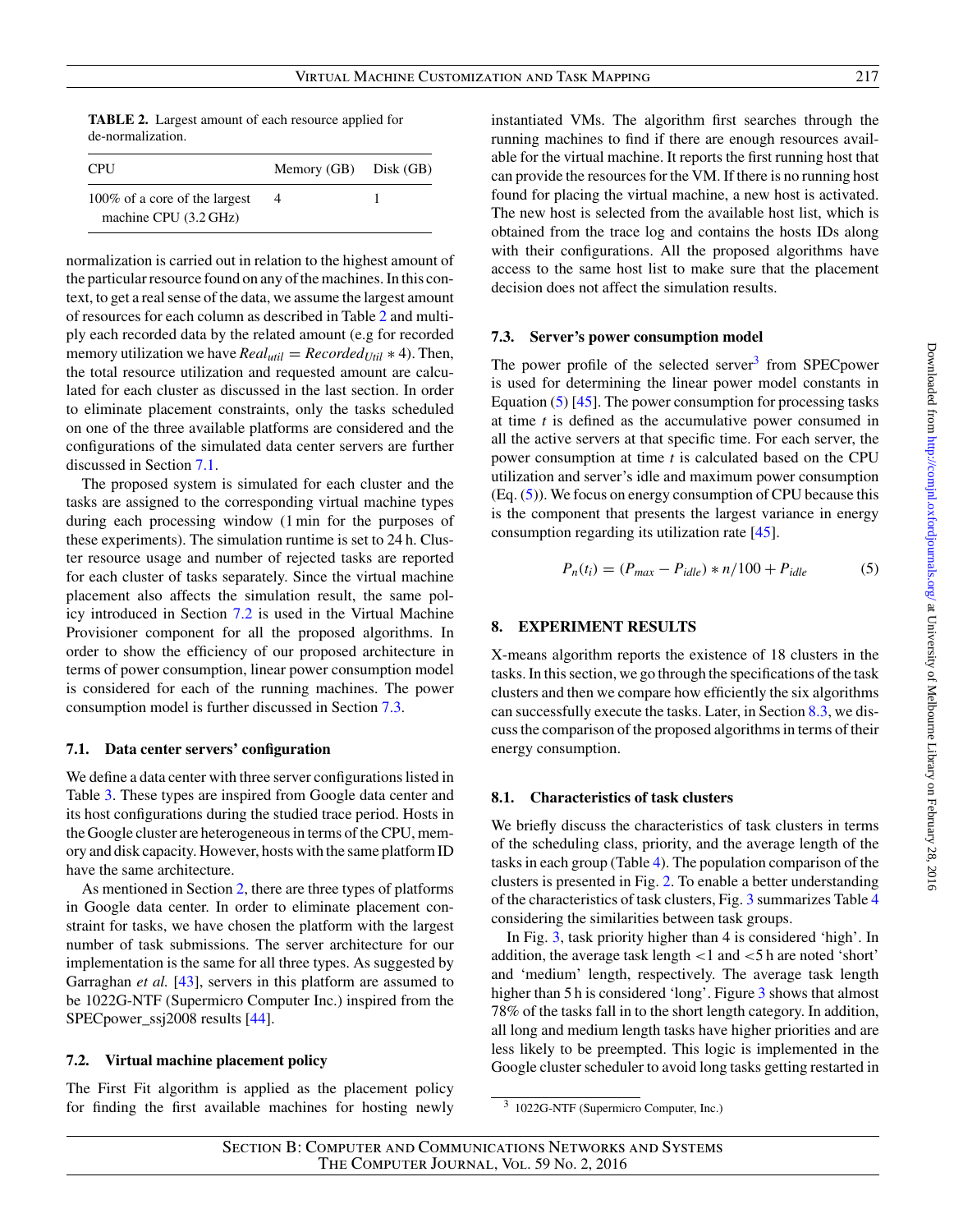<span id="page-9-1"></span>**TABLE 2.** Largest amount of each resource applied for de-normalization.

| <b>CPU</b>                                             | Memory $(GB)$ Disk $(GB)$ |  |
|--------------------------------------------------------|---------------------------|--|
| 100% of a core of the largest<br>machine CPU (3.2 GHz) | 4                         |  |

normalization is carried out in relation to the highest amount of the particular resource found on any of the machines. In this context, to get a real sense of the data, we assume the largest amount of resources for each column as described in Table [2](#page-9-1) and multiply each recorded data by the related amount (e.g for recorded memory utilization we have  $Real_{util} = Recorded_{Util} * 4$ . Then, the total resource utilization and requested amount are calculated for each cluster as discussed in the last section. In order to eliminate placement constraints, only the tasks scheduled on one of the three available platforms are considered and the configurations of the simulated data center servers are further discussed in Section [7.1.](#page-9-2)

The proposed system is simulated for each cluster and the tasks are assigned to the corresponding virtual machine types during each processing window (1 min for the purposes of these experiments). The simulation runtime is set to 24 h. Cluster resource usage and number of rejected tasks are reported for each cluster of tasks separately. Since the virtual machine placement also affects the simulation result, the same policy introduced in Section [7.2](#page-9-3) is used in the Virtual Machine Provisioner component for all the proposed algorithms. In order to show the efficiency of our proposed architecture in terms of power consumption, linear power consumption model is considered for each of the running machines. The power consumption model is further discussed in Section [7.3.](#page-9-4)

### <span id="page-9-2"></span>**7.1. Data center servers' configuration**

We define a data center with three server configurations listed in Table [3.](#page-10-0) These types are inspired from Google data center and its host configurations during the studied trace period. Hosts in the Google cluster are heterogeneous in terms of the CPU, memory and disk capacity. However, hosts with the same platform ID have the same architecture.

As mentioned in Section [2,](#page-1-0) there are three types of platforms in Google data center. In order to eliminate placement constraint for tasks, we have chosen the platform with the largest number of task submissions. The server architecture for our implementation is the same for all three types. As suggested by Garraghan *et al.* [\[43\]](#page-16-12), servers in this platform are assumed to be 1022G-NTF (Supermicro Computer Inc.) inspired from the SPECpower\_ssj2008 results [\[44\]](#page-16-13).

## <span id="page-9-3"></span>**7.2. Virtual machine placement policy**

The First Fit algorithm is applied as the placement policy for finding the first available machines for hosting newly instantiated VMs. The algorithm first searches through the running machines to find if there are enough resources available for the virtual machine. It reports the first running host that can provide the resources for the VM. If there is no running host found for placing the virtual machine, a new host is activated. The new host is selected from the available host list, which is obtained from the trace log and contains the hosts IDs along with their configurations. All the proposed algorithms have access to the same host list to make sure that the placement decision does not affect the simulation results.

#### <span id="page-9-4"></span>**7.3. Server's power consumption model**

The power profile of the selected server $3$  from SPEC power is used for determining the linear power model constants in Equation [\(5\)](#page-9-6) [\[45\]](#page-16-14). The power consumption for processing tasks at time *t* is defined as the accumulative power consumed in all the active servers at that specific time. For each server, the power consumption at time *t* is calculated based on the CPU utilization and server's idle and maximum power consumption (Eq. [\(5\)](#page-9-6)). We focus on energy consumption of CPU because this is the component that presents the largest variance in energy consumption regarding its utilization rate [\[45\]](#page-16-14).

<span id="page-9-6"></span>
$$
P_n(t_i) = (P_{max} - P_{idle}) * n/100 + P_{idle}
$$
 (5)

### <span id="page-9-0"></span>**8. EXPERIMENT RESULTS**

X-means algorithm reports the existence of 18 clusters in the tasks. In this section, we go through the specifications of the task clusters and then we compare how efficiently the six algorithms can successfully execute the tasks. Later, in Section [8.3,](#page-13-0) we discuss the comparison of the proposed algorithms in terms of their energy consumption.

#### **8.1. Characteristics of task clusters**

We briefly discuss the characteristics of task clusters in terms of the scheduling class, priority, and the average length of the tasks in each group (Table [4\)](#page-10-1). The population comparison of the clusters is presented in Fig. [2.](#page-11-0) To enable a better understanding of the characteristics of task clusters, Fig. [3](#page-11-1) summarizes Table [4](#page-10-1) considering the similarities between task groups.

In Fig. [3,](#page-11-1) task priority higher than 4 is considered 'high'. In addition, the average task length *<*1 and *<*5 h are noted 'short' and 'medium' length, respectively. The average task length higher than 5 h is considered 'long'. Figure [3](#page-11-1) shows that almost 78% of the tasks fall in to the short length category. In addition, all long and medium length tasks have higher priorities and are less likely to be preempted. This logic is implemented in the Google cluster scheduler to avoid long tasks getting restarted in

<span id="page-9-5"></span><sup>3</sup> 1022G-NTF (Supermicro Computer, Inc.)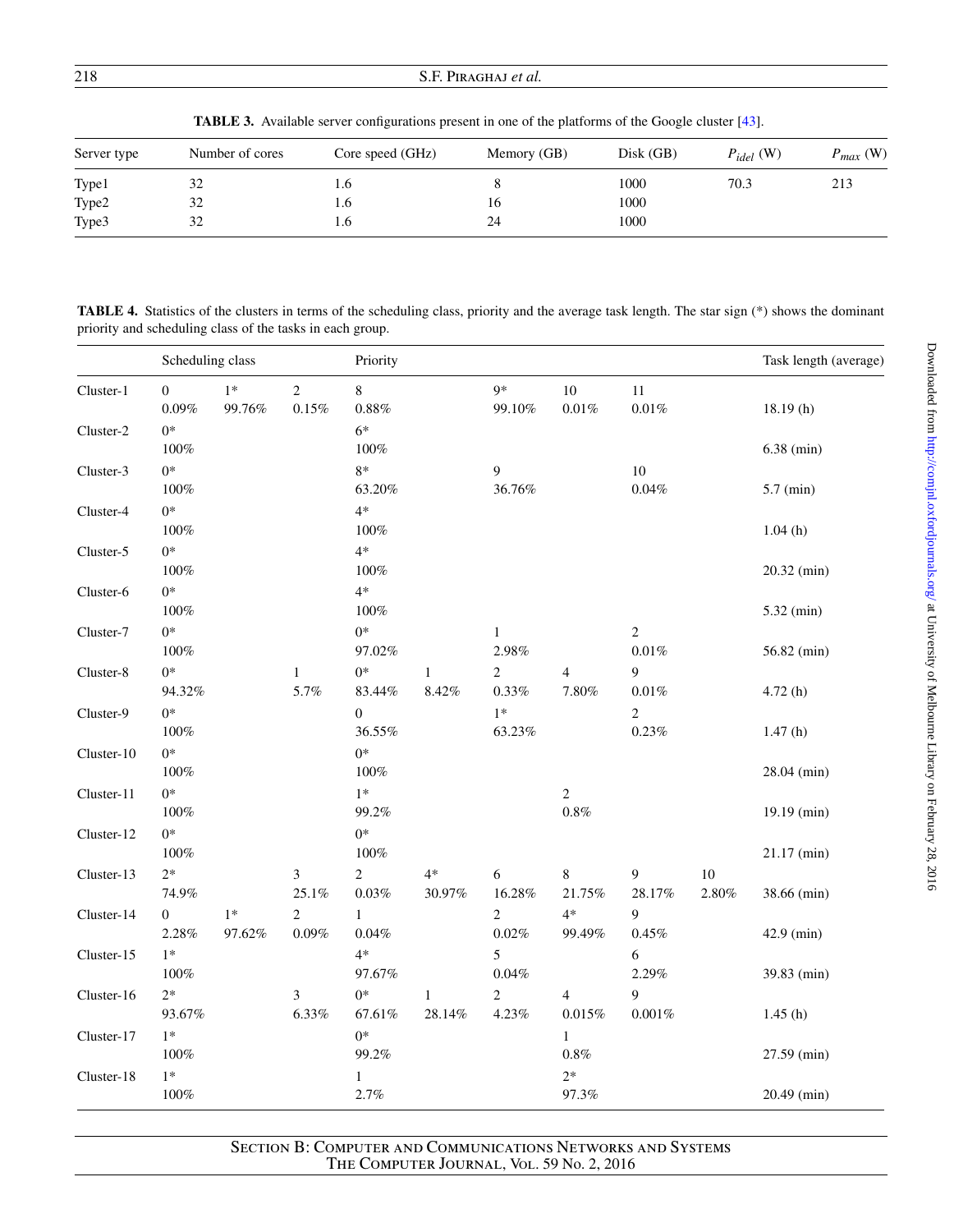## 218 S.F. Piraghaj *et al.*

<span id="page-10-0"></span>TABLE 3. Available server configurations present in one of the platforms of the Google cluster [\[43\]](#page-16-12).

| Server type | Number of cores | Core speed (GHz) | Memory (GB) | Disk(GB) | $P_{idel}$ (W) | $P_{max}$ (W) |
|-------------|-----------------|------------------|-------------|----------|----------------|---------------|
| Type1       | 32              | 1.0              |             | 1000     | 70.3           | 213           |
| Type2       | 32              | 1.6              | 16          | 1000     |                |               |
| Type3       | 32              | L.O              | 24          | 1000     |                |               |

<span id="page-10-1"></span>**TABLE 4.** Statistics of the clusters in terms of the scheduling class, priority and the average task length. The star sign (\*) shows the dominant priority and scheduling class of the tasks in each group.

|            | Scheduling class             |                |                            | Priority                   |                          |                            |                             |                            |                 | Task length (average) |
|------------|------------------------------|----------------|----------------------------|----------------------------|--------------------------|----------------------------|-----------------------------|----------------------------|-----------------|-----------------------|
| Cluster-1  | $\boldsymbol{0}$<br>$0.09\%$ | $1*$<br>99.76% | $\overline{2}$<br>$0.15\%$ | 8<br>$0.88\%$              |                          | $9*$<br>99.10%             | 10<br>$0.01\%$              | $11\,$<br>$0.01\%$         |                 | 18.19(h)              |
| Cluster-2  | $0*$<br>$100\%$              |                |                            | $6*$<br>$100\%$            |                          |                            |                             |                            |                 | $6.38$ (min)          |
| Cluster-3  | $0*$<br>$100\%$              |                |                            | $8*$<br>63.20%             |                          | 9<br>36.76%                |                             | $10\,$<br>$0.04\%$         |                 | $5.7$ (min)           |
| Cluster-4  | $0*$<br>$100\%$              |                |                            | $4*$<br>$100\%$            |                          |                            |                             |                            |                 | 1.04(h)               |
| Cluster-5  | $0*$<br>$100\%$              |                |                            | $4*$<br>$100\%$            |                          |                            |                             |                            |                 | 20.32 (min)           |
| Cluster-6  | $0*$<br>100%                 |                |                            | $4*$<br>$100\%$            |                          |                            |                             |                            |                 | $5.32$ (min)          |
| Cluster-7  | $0*$<br>$100\%$              |                |                            | $0*$<br>97.02%             |                          | $\mathbf{1}$<br>2.98%      |                             | $\overline{c}$<br>$0.01\%$ |                 | 56.82 (min)           |
| Cluster-8  | $0*$<br>94.32%               |                | $\mathbf{1}$<br>5.7%       | $0*$<br>83.44%             | $\mathbf{1}$<br>$8.42\%$ | $\overline{c}$<br>0.33%    | $\overline{4}$<br>$7.80\%$  | 9<br>$0.01\%$              |                 | 4.72(h)               |
| Cluster-9  | $0*$<br>$100\%$              |                |                            | $\boldsymbol{0}$<br>36.55% |                          | $1*$<br>63.23%             |                             | $\boldsymbol{2}$<br>0.23%  |                 | 1.47(h)               |
| Cluster-10 | $0*$<br>$100\%$              |                |                            | $0*$<br>100%               |                          |                            |                             |                            |                 | 28.04 (min)           |
| Cluster-11 | $0*$<br>100%                 |                |                            | $1*$<br>99.2%              |                          |                            | $\sqrt{2}$<br>$0.8\%$       |                            |                 | 19.19 (min)           |
| Cluster-12 | $0*$<br>100%                 |                |                            | $0*$<br>$100\%$            |                          |                            |                             |                            |                 | 21.17 (min)           |
| Cluster-13 | $2*$<br>74.9%                |                | 3<br>25.1%                 | $\overline{2}$<br>$0.03\%$ | $4*$<br>30.97%           | 6<br>$16.28\%$             | $8\,$<br>$21.75\%$          | 9<br>28.17%                | $10\,$<br>2.80% | 38.66 (min)           |
| Cluster-14 | $\mathbf{0}$<br>2.28%        | $1*$<br>97.62% | $\overline{2}$<br>$0.09\%$ | $\mathbf{1}$<br>$0.04\%$   |                          | $\overline{c}$<br>$0.02\%$ | $4*$<br>99.49%              | 9<br>0.45%                 |                 | 42.9 (min)            |
| Cluster-15 | $1*$<br>100%                 |                |                            | $4*$<br>97.67%             |                          | 5<br>$0.04\%$              |                             | 6<br>2.29%                 |                 | 39.83 (min)           |
| Cluster-16 | $2*$<br>93.67%               |                | 3<br>$6.33\%$              | $0*$<br>$67.61\%$          | $\mathbf{1}$<br>28.14%   | $\overline{2}$<br>4.23%    | $\overline{4}$<br>$0.015\%$ | 9<br>$0.001\%$             |                 | 1.45(h)               |
| Cluster-17 | $1*$<br>100%                 |                |                            | $0*$<br>99.2%              |                          |                            | $\mathbf{1}$<br>$0.8\%$     |                            |                 | 27.59 (min)           |
| Cluster-18 | $1*$<br>$100\%$              |                |                            | $\mathbf{1}$<br>2.7%       |                          |                            | $2*$<br>97.3%               |                            |                 | 20.49 (min)           |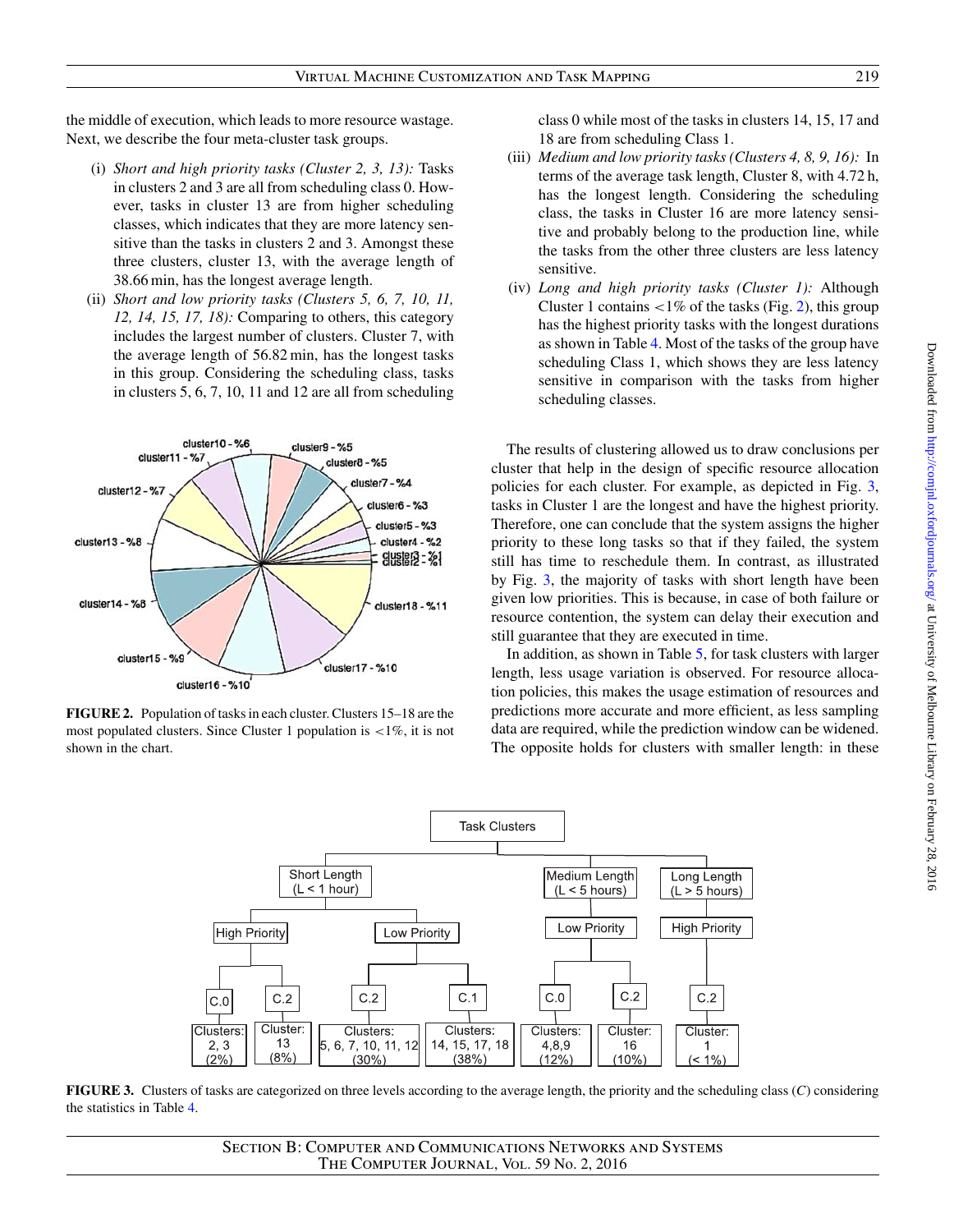the middle of execution, which leads to more resource wastage. Next, we describe the four meta-cluster task groups.

- (i) *Short and high priority tasks (Cluster 2, 3, 13):* Tasks in clusters 2 and 3 are all from scheduling class 0. However, tasks in cluster 13 are from higher scheduling classes, which indicates that they are more latency sensitive than the tasks in clusters 2 and 3. Amongst these three clusters, cluster 13, with the average length of 38.66 min, has the longest average length.
- (ii) *Short and low priority tasks (Clusters 5, 6, 7, 10, 11, 12, 14, 15, 17, 18):* Comparing to others, this category includes the largest number of clusters. Cluster 7, with the average length of 56.82 min, has the longest tasks in this group. Considering the scheduling class, tasks in clusters 5, 6, 7, 10, 11 and 12 are all from scheduling



<span id="page-11-0"></span>**FIGURE 2.** Population of tasks in each cluster. Clusters 15–18 are the most populated clusters. Since Cluster 1 population is *<*1%, it is not shown in the chart.

class 0 while most of the tasks in clusters 14, 15, 17 and 18 are from scheduling Class 1.

- (iii) *Medium and low priority tasks (Clusters 4, 8, 9, 16):* In terms of the average task length, Cluster 8, with 4.72 h, has the longest length. Considering the scheduling class, the tasks in Cluster 16 are more latency sensitive and probably belong to the production line, while the tasks from the other three clusters are less latency sensitive.
- (iv) *Long and high priority tasks (Cluster 1):* Although Cluster 1 contains *<*1% of the tasks (Fig. [2\)](#page-11-0), this group has the highest priority tasks with the longest durations as shown in Table [4.](#page-10-1) Most of the tasks of the group have scheduling Class 1, which shows they are less latency sensitive in comparison with the tasks from higher scheduling classes.

The results of clustering allowed us to draw conclusions per cluster that help in the design of specific resource allocation policies for each cluster. For example, as depicted in Fig. [3,](#page-11-1) tasks in Cluster 1 are the longest and have the highest priority. Therefore, one can conclude that the system assigns the higher priority to these long tasks so that if they failed, the system still has time to reschedule them. In contrast, as illustrated by Fig. [3,](#page-11-1) the majority of tasks with short length have been given low priorities. This is because, in case of both failure or resource contention, the system can delay their execution and still guarantee that they are executed in time.

In addition, as shown in Table [5,](#page-12-0) for task clusters with larger length, less usage variation is observed. For resource allocation policies, this makes the usage estimation of resources and predictions more accurate and more efficient, as less sampling data are required, while the prediction window can be widened. The opposite holds for clusters with smaller length: in these



<span id="page-11-1"></span>**FIGURE 3.** Clusters of tasks are categorized on three levels according to the average length, the priority and the scheduling class (*C*) considering the statistics in Table [4.](#page-10-1)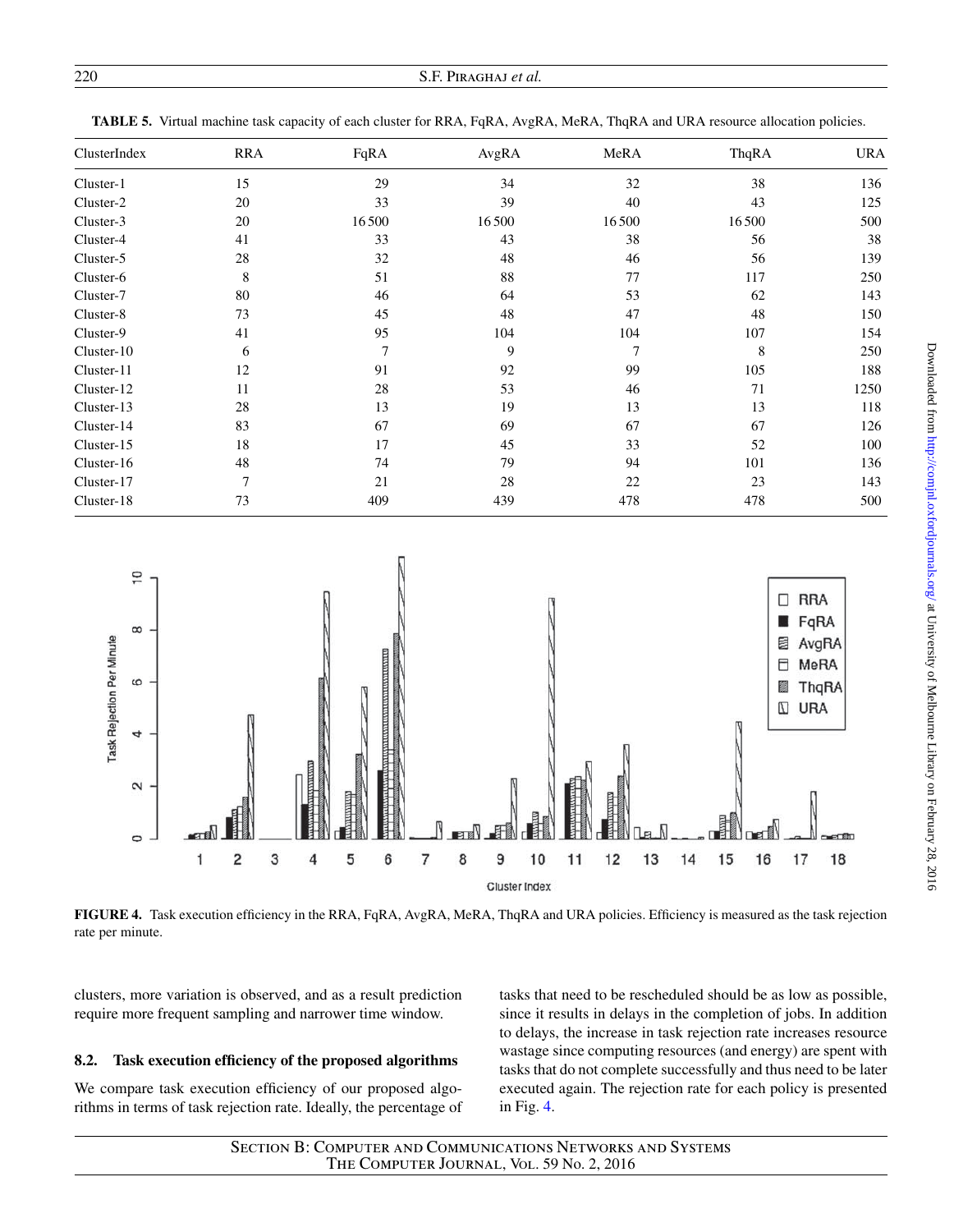| 220 | S.F. PIRAGHAJ et al. |
|-----|----------------------|
|     |                      |

| ClusterIndex | <b>RRA</b> | FqRA  | AvgRA | MeRA           | ThqRA | <b>URA</b> |
|--------------|------------|-------|-------|----------------|-------|------------|
| Cluster-1    | 15         | 29    | 34    | 32             | 38    | 136        |
| Cluster-2    | 20         | 33    | 39    | 40             | 43    | 125        |
| Cluster-3    | 20         | 16500 | 16500 | 16500          | 16500 | 500        |
| Cluster-4    | 41         | 33    | 43    | 38             | 56    | 38         |
| Cluster-5    | 28         | 32    | 48    | 46             | 56    | 139        |
| Cluster-6    | 8          | 51    | 88    | 77             | 117   | 250        |
| Cluster-7    | 80         | 46    | 64    | 53             | 62    | 143        |
| Cluster-8    | 73         | 45    | 48    | 47             | 48    | 150        |
| Cluster-9    | 41         | 95    | 104   | 104            | 107   | 154        |
| Cluster-10   | 6          | 7     | 9     | $\overline{7}$ | 8     | 250        |
| Cluster-11   | 12         | 91    | 92    | 99             | 105   | 188        |
| Cluster-12   | 11         | 28    | 53    | 46             | 71    | 1250       |
| Cluster-13   | 28         | 13    | 19    | 13             | 13    | 118        |
| Cluster-14   | 83         | 67    | 69    | 67             | 67    | 126        |
| Cluster-15   | 18         | 17    | 45    | 33             | 52    | 100        |
| Cluster-16   | 48         | 74    | 79    | 94             | 101   | 136        |
| Cluster-17   |            | 21    | 28    | 22             | 23    | 143        |
| Cluster-18   | 73         | 409   | 439   | 478            | 478   | 500        |

<span id="page-12-0"></span>**TABLE 5.** Virtual machine task capacity of each cluster for RRA, FqRA, AvgRA, MeRA, ThqRA and URA resource allocation policies.



<span id="page-12-1"></span>**FIGURE 4.** Task execution efficiency in the RRA, FqRA, AvgRA, MeRA, ThqRA and URA policies. Efficiency is measured as the task rejection rate per minute.

clusters, more variation is observed, and as a result prediction require more frequent sampling and narrower time window.

# **8.2. Task execution efficiency of the proposed algorithms**

We compare task execution efficiency of our proposed algorithms in terms of task rejection rate. Ideally, the percentage of tasks that need to be rescheduled should be as low as possible, since it results in delays in the completion of jobs. In addition to delays, the increase in task rejection rate increases resource wastage since computing resources (and energy) are spent with tasks that do not complete successfully and thus need to be later executed again. The rejection rate for each policy is presented in Fig. [4.](#page-12-1)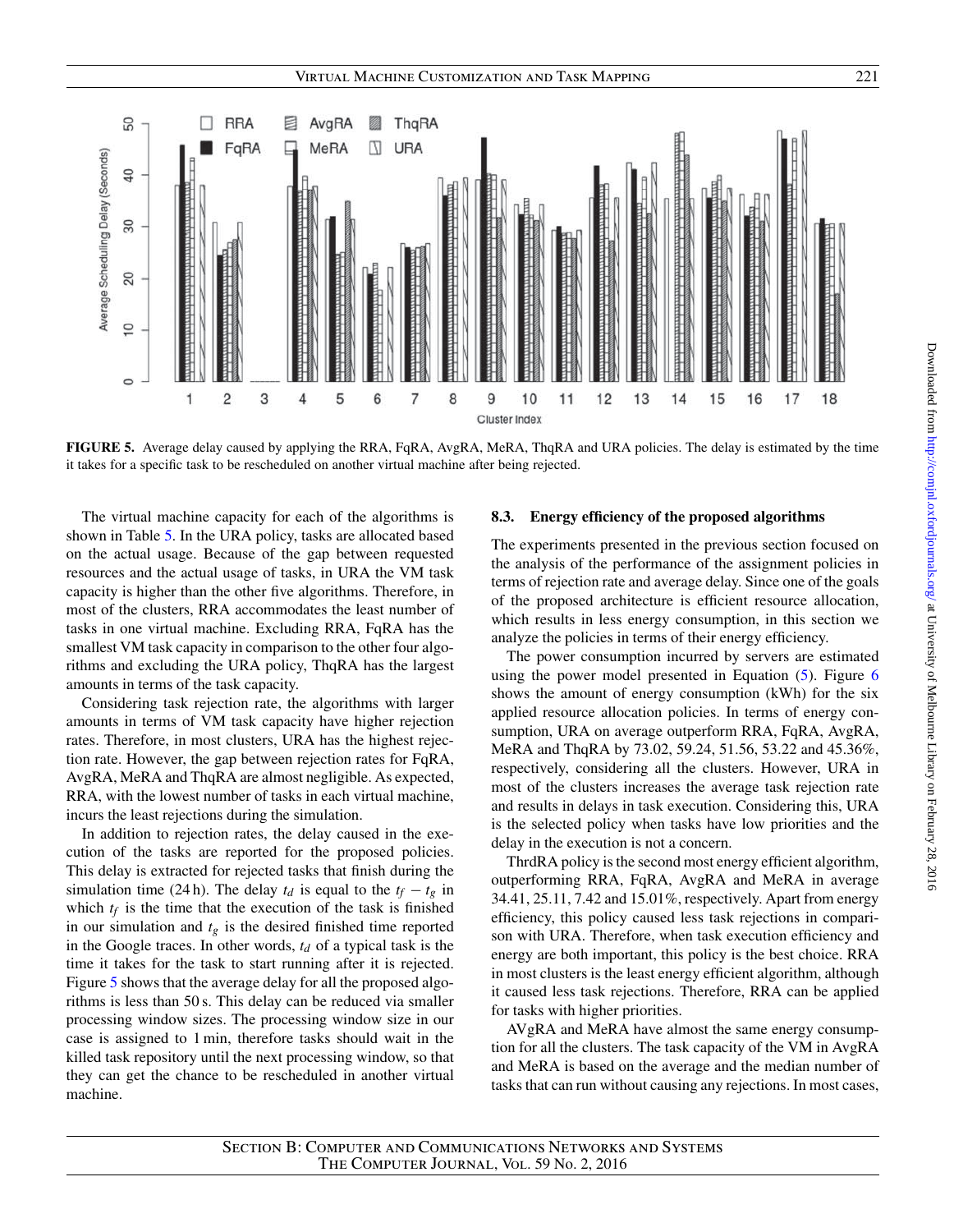

<span id="page-13-1"></span>**FIGURE 5.** Average delay caused by applying the RRA, FqRA, AvgRA, MeRA, ThqRA and URA policies. The delay is estimated by the time it takes for a specific task to be rescheduled on another virtual machine after being rejected.

The virtual machine capacity for each of the algorithms is shown in Table [5.](#page-12-0) In the URA policy, tasks are allocated based on the actual usage. Because of the gap between requested resources and the actual usage of tasks, in URA the VM task capacity is higher than the other five algorithms. Therefore, in most of the clusters, RRA accommodates the least number of tasks in one virtual machine. Excluding RRA, FqRA has the smallest VM task capacity in comparison to the other four algorithms and excluding the URA policy, ThqRA has the largest amounts in terms of the task capacity.

Considering task rejection rate, the algorithms with larger amounts in terms of VM task capacity have higher rejection rates. Therefore, in most clusters, URA has the highest rejection rate. However, the gap between rejection rates for FqRA, AvgRA, MeRA and ThqRA are almost negligible. As expected, RRA, with the lowest number of tasks in each virtual machine, incurs the least rejections during the simulation.

In addition to rejection rates, the delay caused in the execution of the tasks are reported for the proposed policies. This delay is extracted for rejected tasks that finish during the simulation time (24 h). The delay  $t_d$  is equal to the  $t_f - t_g$  in which  $t_f$  is the time that the execution of the task is finished in our simulation and  $t_g$  is the desired finished time reported in the Google traces. In other words,  $t_d$  of a typical task is the time it takes for the task to start running after it is rejected. Figure [5](#page-13-1) shows that the average delay for all the proposed algorithms is less than 50 s. This delay can be reduced via smaller processing window sizes. The processing window size in our case is assigned to 1 min, therefore tasks should wait in the killed task repository until the next processing window, so that they can get the chance to be rescheduled in another virtual machine.

#### <span id="page-13-0"></span>**8.3. Energy efficiency of the proposed algorithms**

The experiments presented in the previous section focused on the analysis of the performance of the assignment policies in terms of rejection rate and average delay. Since one of the goals of the proposed architecture is efficient resource allocation, which results in less energy consumption, in this section we analyze the policies in terms of their energy efficiency.

The power consumption incurred by servers are estimated using the power model presented in Equation [\(5\)](#page-9-6). Figure [6](#page-14-2) shows the amount of energy consumption (kWh) for the six applied resource allocation policies. In terms of energy consumption, URA on average outperform RRA, FqRA, AvgRA, MeRA and ThqRA by 73.02, 59.24, 51.56, 53.22 and 45.36%, respectively, considering all the clusters. However, URA in most of the clusters increases the average task rejection rate and results in delays in task execution. Considering this, URA is the selected policy when tasks have low priorities and the delay in the execution is not a concern.

ThrdRA policy is the second most energy efficient algorithm, outperforming RRA, FqRA, AvgRA and MeRA in average 34.41, 25.11, 7.42 and 15.01%, respectively. Apart from energy efficiency, this policy caused less task rejections in comparison with URA. Therefore, when task execution efficiency and energy are both important, this policy is the best choice. RRA in most clusters is the least energy efficient algorithm, although it caused less task rejections. Therefore, RRA can be applied for tasks with higher priorities.

AVgRA and MeRA have almost the same energy consumption for all the clusters. The task capacity of the VM in AvgRA and MeRA is based on the average and the median number of tasks that can run without causing any rejections. In most cases,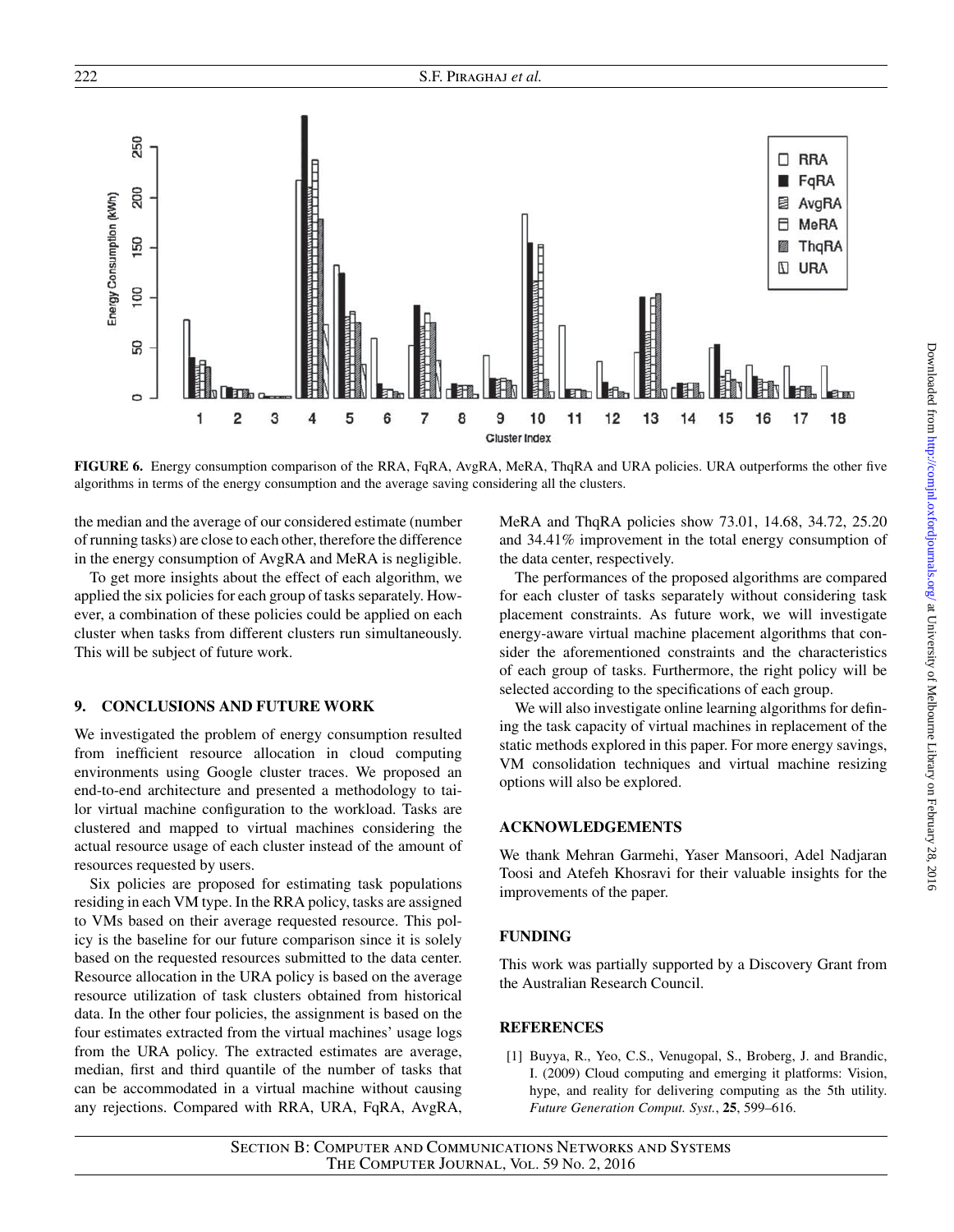

<span id="page-14-2"></span>**FIGURE 6.** Energy consumption comparison of the RRA, FqRA, AvgRA, MeRA, ThqRA and URA policies. URA outperforms the other five algorithms in terms of the energy consumption and the average saving considering all the clusters.

the median and the average of our considered estimate (number of running tasks) are close to each other, therefore the difference in the energy consumption of AvgRA and MeRA is negligible.

To get more insights about the effect of each algorithm, we applied the six policies for each group of tasks separately. However, a combination of these policies could be applied on each cluster when tasks from different clusters run simultaneously. This will be subject of future work.

## <span id="page-14-1"></span>**9. CONCLUSIONS AND FUTURE WORK**

We investigated the problem of energy consumption resulted from inefficient resource allocation in cloud computing environments using Google cluster traces. We proposed an end-to-end architecture and presented a methodology to tailor virtual machine configuration to the workload. Tasks are clustered and mapped to virtual machines considering the actual resource usage of each cluster instead of the amount of resources requested by users.

Six policies are proposed for estimating task populations residing in each VM type. In the RRA policy, tasks are assigned to VMs based on their average requested resource. This policy is the baseline for our future comparison since it is solely based on the requested resources submitted to the data center. Resource allocation in the URA policy is based on the average resource utilization of task clusters obtained from historical data. In the other four policies, the assignment is based on the four estimates extracted from the virtual machines' usage logs from the URA policy. The extracted estimates are average, median, first and third quantile of the number of tasks that can be accommodated in a virtual machine without causing any rejections. Compared with RRA, URA, FqRA, AvgRA, MeRA and ThqRA policies show 73.01, 14.68, 34.72, 25.20 and 34.41% improvement in the total energy consumption of the data center, respectively.

The performances of the proposed algorithms are compared for each cluster of tasks separately without considering task placement constraints. As future work, we will investigate energy-aware virtual machine placement algorithms that consider the aforementioned constraints and the characteristics of each group of tasks. Furthermore, the right policy will be selected according to the specifications of each group.

We will also investigate online learning algorithms for defining the task capacity of virtual machines in replacement of the static methods explored in this paper. For more energy savings, VM consolidation techniques and virtual machine resizing options will also be explored.

### **ACKNOWLEDGEMENTS**

We thank Mehran Garmehi, Yaser Mansoori, Adel Nadjaran Toosi and Atefeh Khosravi for their valuable insights for the improvements of the paper.

#### **FUNDING**

This work was partially supported by a Discovery Grant from the Australian Research Council.

### **REFERENCES**

<span id="page-14-0"></span>[1] Buyya, R., Yeo, C.S., Venugopal, S., Broberg, J. and Brandic, I. (2009) Cloud computing and emerging it platforms: Vision, hype, and reality for delivering computing as the 5th utility. *Future Generation Comput. Syst.*, **25**, 599–616.

Downloaded from <http://comjnl.oxfordjournals.org/> at University of Melbourne Library on February 28, 2016

Downloaded from http://comjnl.oxfordjournals.org/ at University of Melbourne Library on February 28, 2016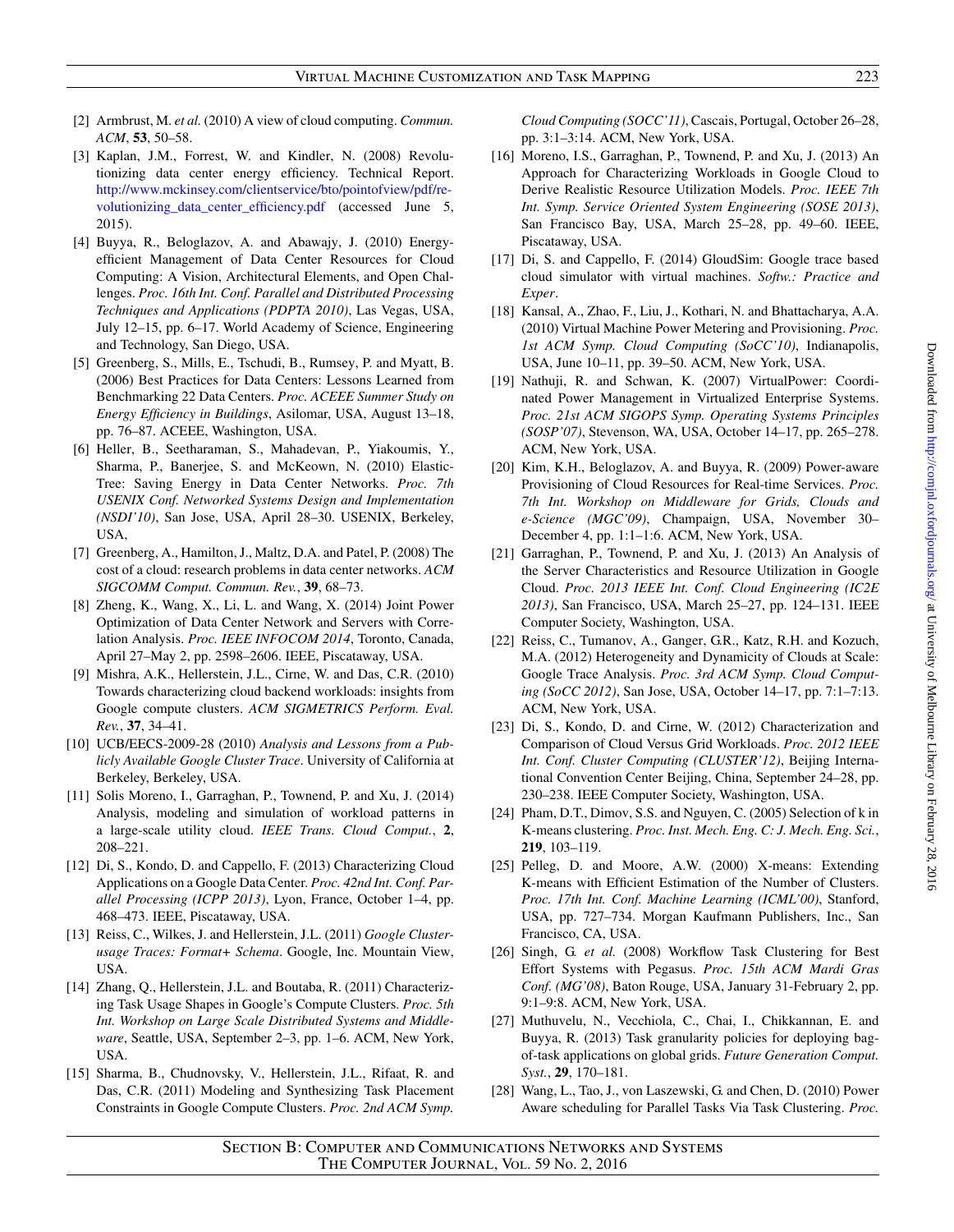- <span id="page-15-0"></span>[2] Armbrust, M. *et al.* (2010) A view of cloud computing. *Commun. ACM*, **53**, 50–58.
- <span id="page-15-1"></span>[3] Kaplan, J.M., Forrest, W. and Kindler, N. (2008) Revolutionizing data center energy efficiency. Technical Report. [http://www.mckinsey.com/clientservice/bto/pointofview/pdf/re](http://www.mckinsey.com/clientservice/bto/pointofview/pdf/revolutionizing_data_center_efficiency.pdf)[volutionizing\\_data\\_center\\_efficiency.pdf](http://www.mckinsey.com/clientservice/bto/pointofview/pdf/revolutionizing_data_center_efficiency.pdf) (accessed June 5, 2015).
- <span id="page-15-2"></span>[4] Buyya, R., Beloglazov, A. and Abawajy, J. (2010) Energyefficient Management of Data Center Resources for Cloud Computing: A Vision, Architectural Elements, and Open Challenges. *Proc. 16th Int. Conf. Parallel and Distributed Processing Techniques and Applications (PDPTA 2010)*, Las Vegas, USA, July 12–15, pp. 6–17. World Academy of Science, Engineering and Technology, San Diego, USA.
- <span id="page-15-3"></span>[5] Greenberg, S., Mills, E., Tschudi, B., Rumsey, P. and Myatt, B. (2006) Best Practices for Data Centers: Lessons Learned from Benchmarking 22 Data Centers. *Proc. ACEEE Summer Study on Energy Efficiency in Buildings*, Asilomar, USA, August 13–18, pp. 76–87. ACEEE, Washington, USA.
- <span id="page-15-4"></span>[6] Heller, B., Seetharaman, S., Mahadevan, P., Yiakoumis, Y., Sharma, P., Banerjee, S. and McKeown, N. (2010) Elastic-Tree: Saving Energy in Data Center Networks. *Proc. 7th USENIX Conf. Networked Systems Design and Implementation (NSDI'10)*, San Jose, USA, April 28–30. USENIX, Berkeley, USA,
- <span id="page-15-5"></span>[7] Greenberg, A., Hamilton, J., Maltz, D.A. and Patel, P. (2008) The cost of a cloud: research problems in data center networks. *ACM SIGCOMM Comput. Commun. Rev.*, **39**, 68–73.
- <span id="page-15-6"></span>[8] Zheng, K., Wang, X., Li, L. and Wang, X. (2014) Joint Power Optimization of Data Center Network and Servers with Correlation Analysis. *Proc. IEEE INFOCOM 2014*, Toronto, Canada, April 27–May 2, pp. 2598–2606. IEEE, Piscataway, USA.
- <span id="page-15-7"></span>[9] Mishra, A.K., Hellerstein, J.L., Cirne, W. and Das, C.R. (2010) Towards characterizing cloud backend workloads: insights from Google compute clusters. *ACM SIGMETRICS Perform. Eval. Rev.*, **37**, 34–41.
- <span id="page-15-20"></span>[10] UCB/EECS-2009-28 (2010) *Analysis and Lessons from a Publicly Available Google Cluster Trace*. University of California at Berkeley, Berkeley, USA.
- <span id="page-15-12"></span>[11] Solis Moreno, I., Garraghan, P., Townend, P. and Xu, J. (2014) Analysis, modeling and simulation of workload patterns in a large-scale utility cloud. *IEEE Trans. Cloud Comput.*, **2**, 208–221.
- <span id="page-15-8"></span>[12] Di, S., Kondo, D. and Cappello, F. (2013) Characterizing Cloud Applications on a Google Data Center. *Proc. 42nd Int. Conf. Parallel Processing (ICPP 2013)*, Lyon, France, October 1–4, pp. 468–473. IEEE, Piscataway, USA.
- <span id="page-15-9"></span>[13] Reiss, C., Wilkes, J. and Hellerstein, J.L. (2011) *Google Clusterusage Traces: Format+ Schema*. Google, Inc. Mountain View, USA.
- <span id="page-15-10"></span>[14] Zhang, Q., Hellerstein, J.L. and Boutaba, R. (2011) Characterizing Task Usage Shapes in Google's Compute Clusters. *Proc. 5th Int. Workshop on Large Scale Distributed Systems and Middleware*, Seattle, USA, September 2–3, pp. 1–6. ACM, New York, USA.
- <span id="page-15-11"></span>[15] Sharma, B., Chudnovsky, V., Hellerstein, J.L., Rifaat, R. and Das, C.R. (2011) Modeling and Synthesizing Task Placement Constraints in Google Compute Clusters. *Proc. 2nd ACM Symp.*

*Cloud Computing (SOCC'11)*, Cascais, Portugal, October 26–28, pp. 3:1–3:14. ACM, New York, USA.

- <span id="page-15-13"></span>[16] Moreno, I.S., Garraghan, P., Townend, P. and Xu, J. (2013) An Approach for Characterizing Workloads in Google Cloud to Derive Realistic Resource Utilization Models. *Proc. IEEE 7th Int. Symp. Service Oriented System Engineering (SOSE 2013)*, San Francisco Bay, USA, March 25–28, pp. 49–60. IEEE, Piscataway, USA.
- <span id="page-15-14"></span>[17] Di, S. and Cappello, F. (2014) GloudSim: Google trace based cloud simulator with virtual machines. *Softw.: Practice and Exper*.
- <span id="page-15-15"></span>[18] Kansal, A., Zhao, F., Liu, J., Kothari, N. and Bhattacharya, A.A. (2010) Virtual Machine Power Metering and Provisioning. *Proc. 1st ACM Symp. Cloud Computing (SoCC'10)*, Indianapolis, USA, June 10–11, pp. 39–50. ACM, New York, USA.
- [19] Nathuji, R. and Schwan, K. (2007) VirtualPower: Coordinated Power Management in Virtualized Enterprise Systems. *Proc. 21st ACM SIGOPS Symp. Operating Systems Principles (SOSP'07)*, Stevenson, WA, USA, October 14–17, pp. 265–278. ACM, New York, USA.
- <span id="page-15-16"></span>[20] Kim, K.H., Beloglazov, A. and Buyya, R. (2009) Power-aware Provisioning of Cloud Resources for Real-time Services. *Proc. 7th Int. Workshop on Middleware for Grids, Clouds and e-Science (MGC'09)*, Champaign, USA, November 30– December 4, pp. 1:1–1:6. ACM, New York, USA.
- <span id="page-15-17"></span>[21] Garraghan, P., Townend, P. and Xu, J. (2013) An Analysis of the Server Characteristics and Resource Utilization in Google Cloud. *Proc. 2013 IEEE Int. Conf. Cloud Engineering (IC2E 2013)*, San Francisco, USA, March 25–27, pp. 124–131. IEEE Computer Society, Washington, USA.
- <span id="page-15-18"></span>[22] Reiss, C., Tumanov, A., Ganger, G.R., Katz, R.H. and Kozuch, M.A. (2012) Heterogeneity and Dynamicity of Clouds at Scale: Google Trace Analysis. *Proc. 3rd ACM Symp. Cloud Computing (SoCC 2012)*, San Jose, USA, October 14–17, pp. 7:1–7:13. ACM, New York, USA.
- <span id="page-15-19"></span>[23] Di, S., Kondo, D. and Cirne, W. (2012) Characterization and Comparison of Cloud Versus Grid Workloads. *Proc. 2012 IEEE Int. Conf. Cluster Computing (CLUSTER'12)*, Beijing International Convention Center Beijing, China, September 24–28, pp. 230–238. IEEE Computer Society, Washington, USA.
- <span id="page-15-21"></span>[24] Pham, D.T., Dimov, S.S. and Nguyen, C. (2005) Selection of k in K-means clustering. *Proc. Inst. Mech. Eng. C: J. Mech. Eng. Sci.*, **219**, 103–119.
- <span id="page-15-22"></span>[25] Pelleg, D. and Moore, A.W. (2000) X-means: Extending K-means with Efficient Estimation of the Number of Clusters. *Proc. 17th Int. Conf. Machine Learning (ICML'00)*, Stanford, USA, pp. 727–734. Morgan Kaufmann Publishers, Inc., San Francisco, CA, USA.
- <span id="page-15-23"></span>[26] Singh, G. *et al.* (2008) Workflow Task Clustering for Best Effort Systems with Pegasus. *Proc. 15th ACM Mardi Gras Conf. (MG'08)*, Baton Rouge, USA, January 31-February 2, pp. 9:1–9:8. ACM, New York, USA.
- <span id="page-15-25"></span>[27] Muthuvelu, N., Vecchiola, C., Chai, I., Chikkannan, E. and Buyya, R. (2013) Task granularity policies for deploying bagof-task applications on global grids. *Future Generation Comput. Syst.*, **29**, 170–181.
- <span id="page-15-24"></span>[28] Wang, L., Tao, J., von Laszewski, G. and Chen, D. (2010) Power Aware scheduling for Parallel Tasks Via Task Clustering. *Proc.*